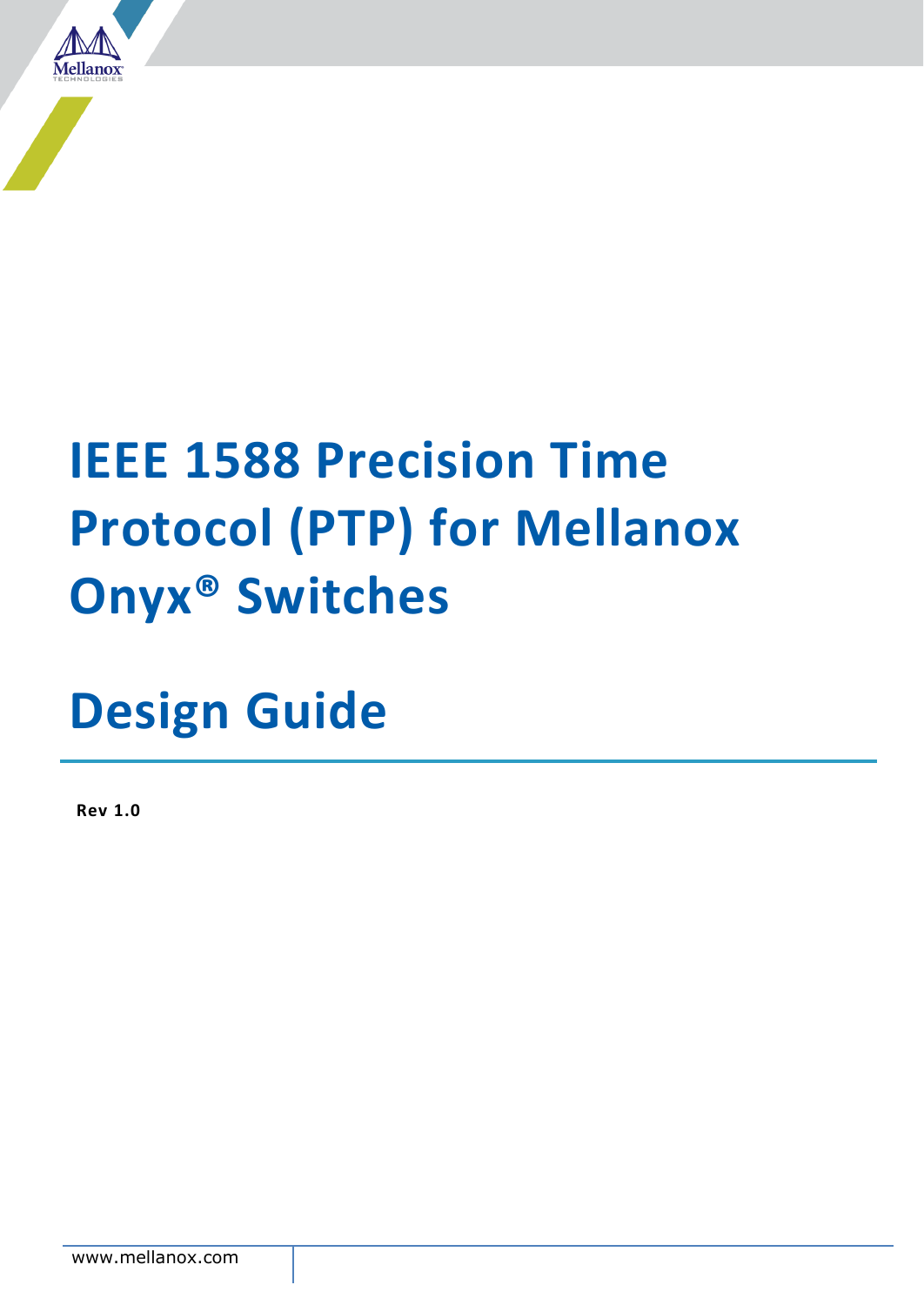

# **IEEE 1588 Precision Time Protocol (PTP) for Mellanox Onyx® Switches**

**Design Guide**

**Rev 1.0**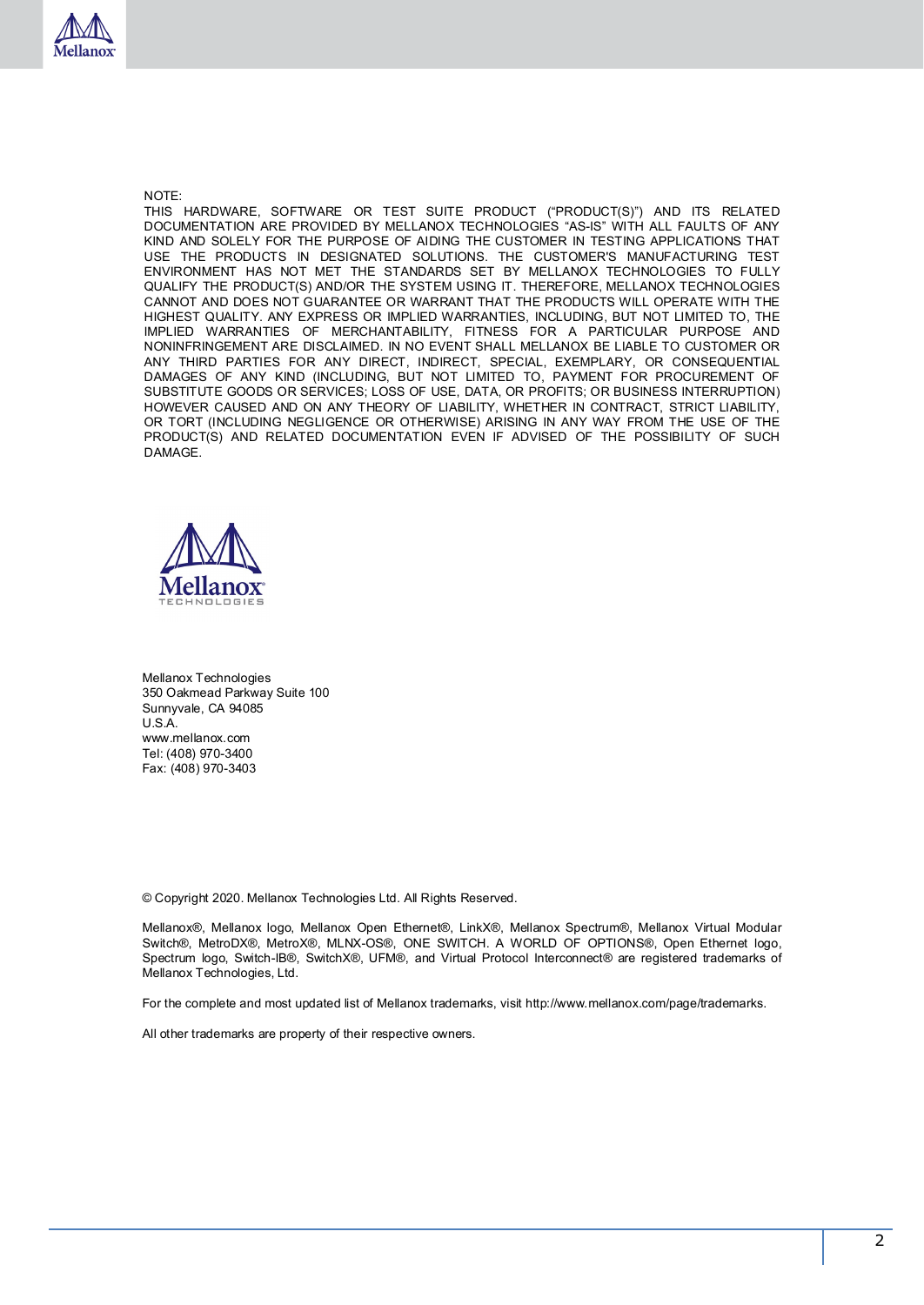

NOTE:

THIS HARDWARE, SOFTWARE OR TEST SUITE PRODUCT ("PRODUCT(S)") AND ITS RELATED DOCUMENTATION ARE PROVIDED BY MELLANOX TECHNOLOGIES "AS-IS" WITH ALL FAULTS OF ANY KIND AND SOLELY FOR THE PURPOSE OF AIDING THE CUSTOMER IN TESTING APPLICATIONS THAT USE THE PRODUCTS IN DESIGNATED SOLUTIONS. THE CUSTOMER'S MANUFACTURING TEST ENVIRONMENT HAS NOT MET THE STANDARDS SET BY MELLANOX TECHNOLOGIES TO FULLY QUALIFY THE PRODUCT(S) AND/OR THE SYSTEM USING IT. THEREFORE, MELLANOX TECHNOLOGIES CANNOT AND DOES NOT GUARANTEE OR WARRANT THAT THE PRODUCTS WILL OPERATE WITH THE HIGHEST QUALITY. ANY EXPRESS OR IMPLIED WARRANTIES, INCLUDING, BUT NOT LIMITED TO, THE IMPLIED WARRANTIES OF MERCHANTABILITY, FITNESS FOR A PARTICULAR PURPOSE AND NONINFRINGEMENT ARE DISCLAIMED. IN NO EVENT SHALL MELLANOX BE LIABLE TO CUSTOMER OR ANY THIRD PARTIES FOR ANY DIRECT, INDIRECT, SPECIAL, EXEMPLARY, OR CONSEQUENTIAL DAMAGES OF ANY KIND (INCLUDING, BUT NOT LIMITED TO, PAYMENT FOR PROCUREMENT OF SUBSTITUTE GOODS OR SERVICES; LOSS OF USE, DATA, OR PROFITS; OR BUSINESS INTERRUPTION) HOWEVER CAUSED AND ON ANY THEORY OF LIABILITY, WHETHER IN CONTRACT, STRICT LIABILITY, OR TORT (INCLUDING NEGLIGENCE OR OTHERWISE) ARISING IN ANY WAY FROM THE USE OF THE PRODUCT(S) AND RELATED DOCUMENTATION EVEN IF ADVISED OF THE POSSIBILITY OF SUCH DAMAGE.



Mellanox Technologies 350 Oakmead Parkway Suite 100 Sunnyvale, CA 94085 U.S.A. www.mellanox.com Tel: (408) 970-3400 Fax: (408) 970-3403

© Copyright 2020. Mellanox Technologies Ltd. All Rights Reserved.

Mellanox®, Mellanox logo, Mellanox Open Ethernet®, LinkX®, Mellanox Spectrum®, Mellanox Virtual Modular Switch®, MetroDX®, MetroX®, MLNX-OS®, ONE SWITCH. A WORLD OF OPTIONS®, Open Ethernet logo, Spectrum logo, Switch-IB®, SwitchX®, UFM®, and Virtual Protocol Interconnect® are registered trademarks of Mellanox Technologies, Ltd.

For the complete and most updated list of Mellanox trademarks, visit http://www.mellanox.com/page/trademarks.

All other trademarks are property of their respective owners.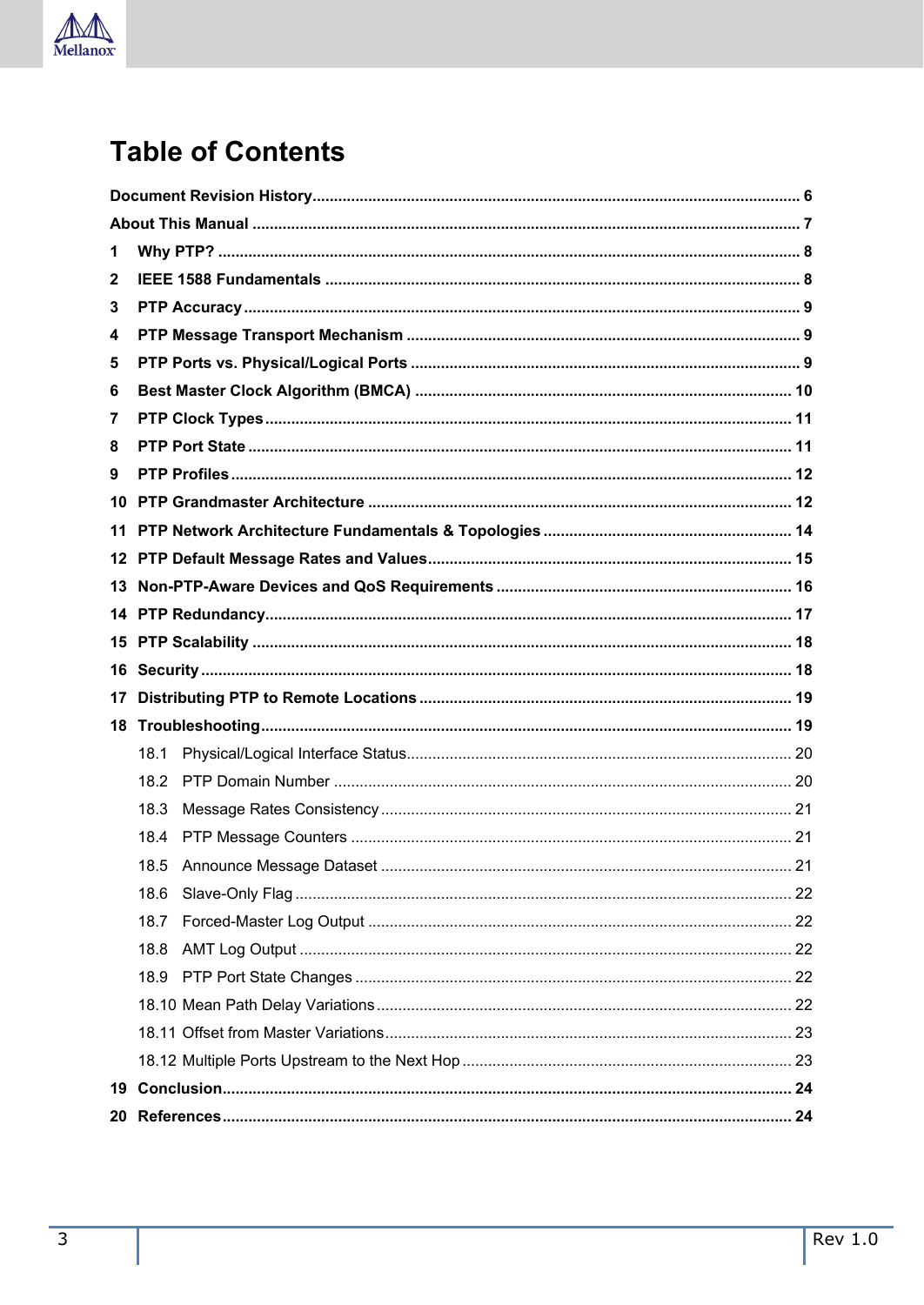

# **Table of Contents**

| 1               |      |  |
|-----------------|------|--|
| 2               |      |  |
| 3               |      |  |
| 4               |      |  |
| 5               |      |  |
| 6               |      |  |
| 7               |      |  |
| 8               |      |  |
| 9               |      |  |
|                 |      |  |
| 11              |      |  |
| 12 <sup>1</sup> |      |  |
| 13              |      |  |
| 14              |      |  |
| 15              |      |  |
|                 |      |  |
| 16              |      |  |
| 17              |      |  |
| 18              |      |  |
|                 | 18.1 |  |
|                 | 18.2 |  |
|                 | 18.3 |  |
|                 | 18.4 |  |
|                 | 18.5 |  |
|                 | 18.6 |  |
|                 | 18.7 |  |
|                 | 18.8 |  |
|                 | 18.9 |  |
|                 |      |  |
|                 |      |  |
|                 |      |  |
| 19              |      |  |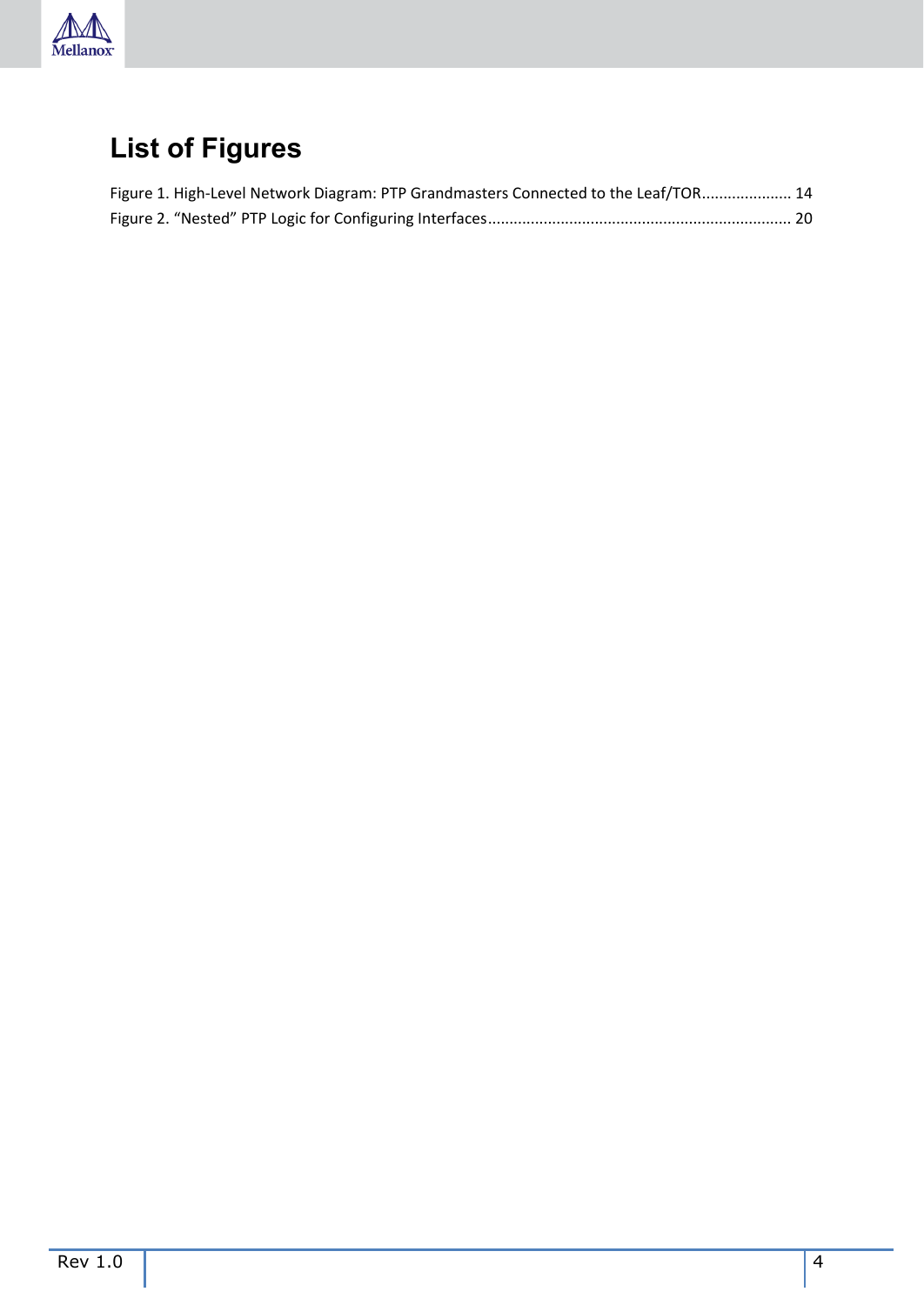

# **List of Figures**

| Figure 1. High-Level Network Diagram: PTP Grandmasters Connected to the Leaf/TOR 14 |  |
|-------------------------------------------------------------------------------------|--|
|                                                                                     |  |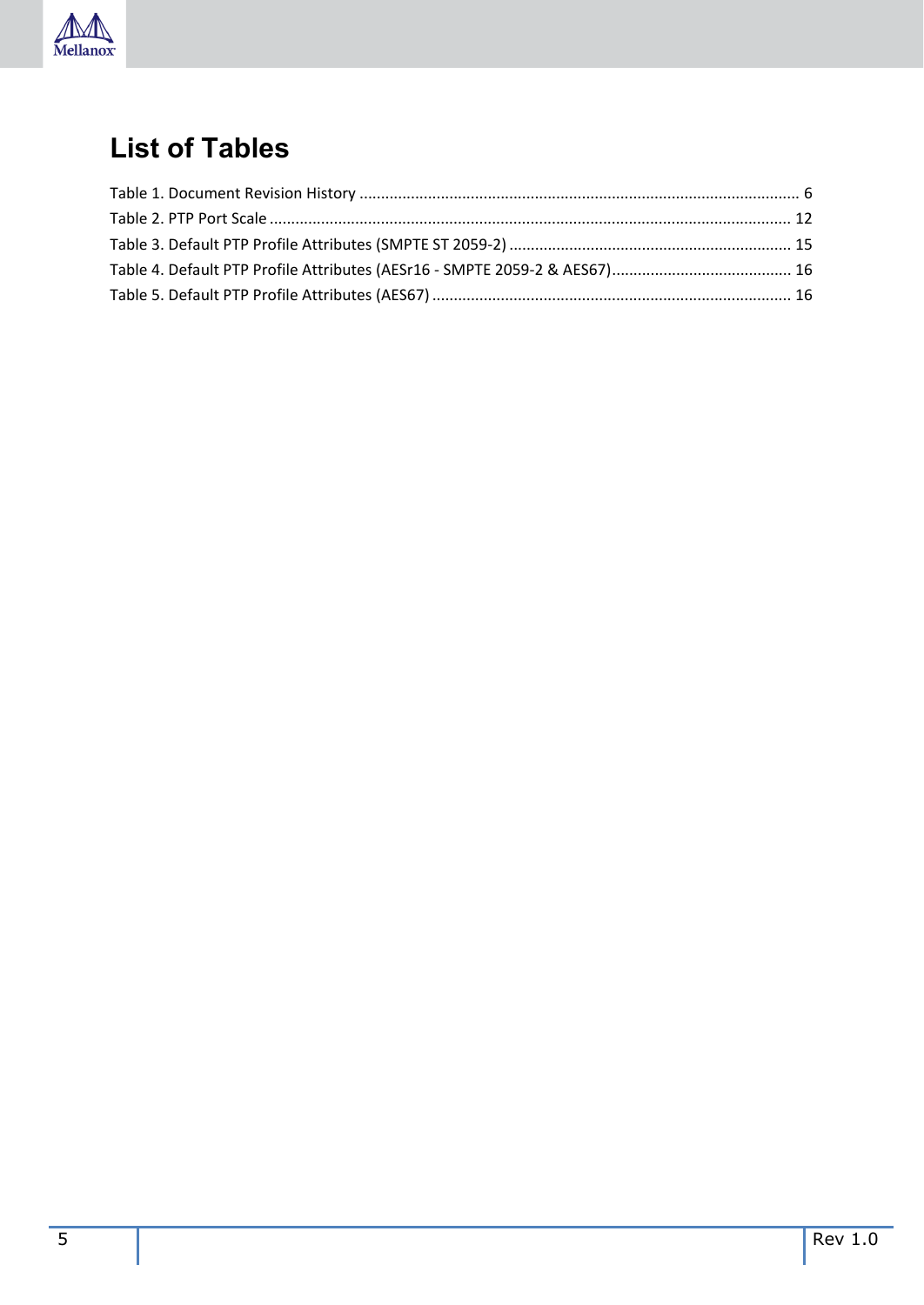

## **List of Tables**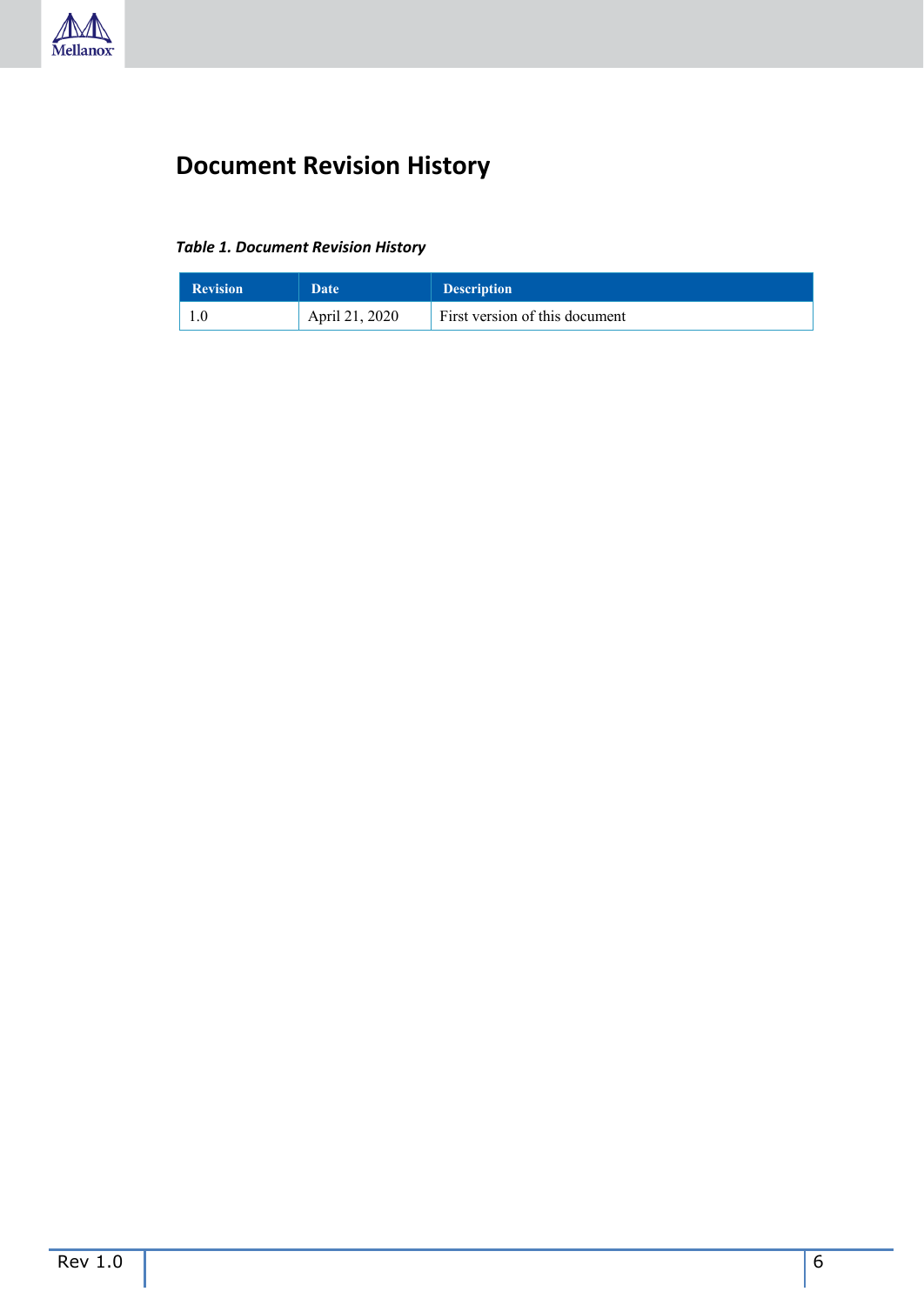

### <span id="page-5-0"></span>**Document Revision History**

#### <span id="page-5-1"></span>*Table 1. Document Revision History*

| <b>Revision</b> | Date           | <b>Description</b>             |
|-----------------|----------------|--------------------------------|
|                 | April 21, 2020 | First version of this document |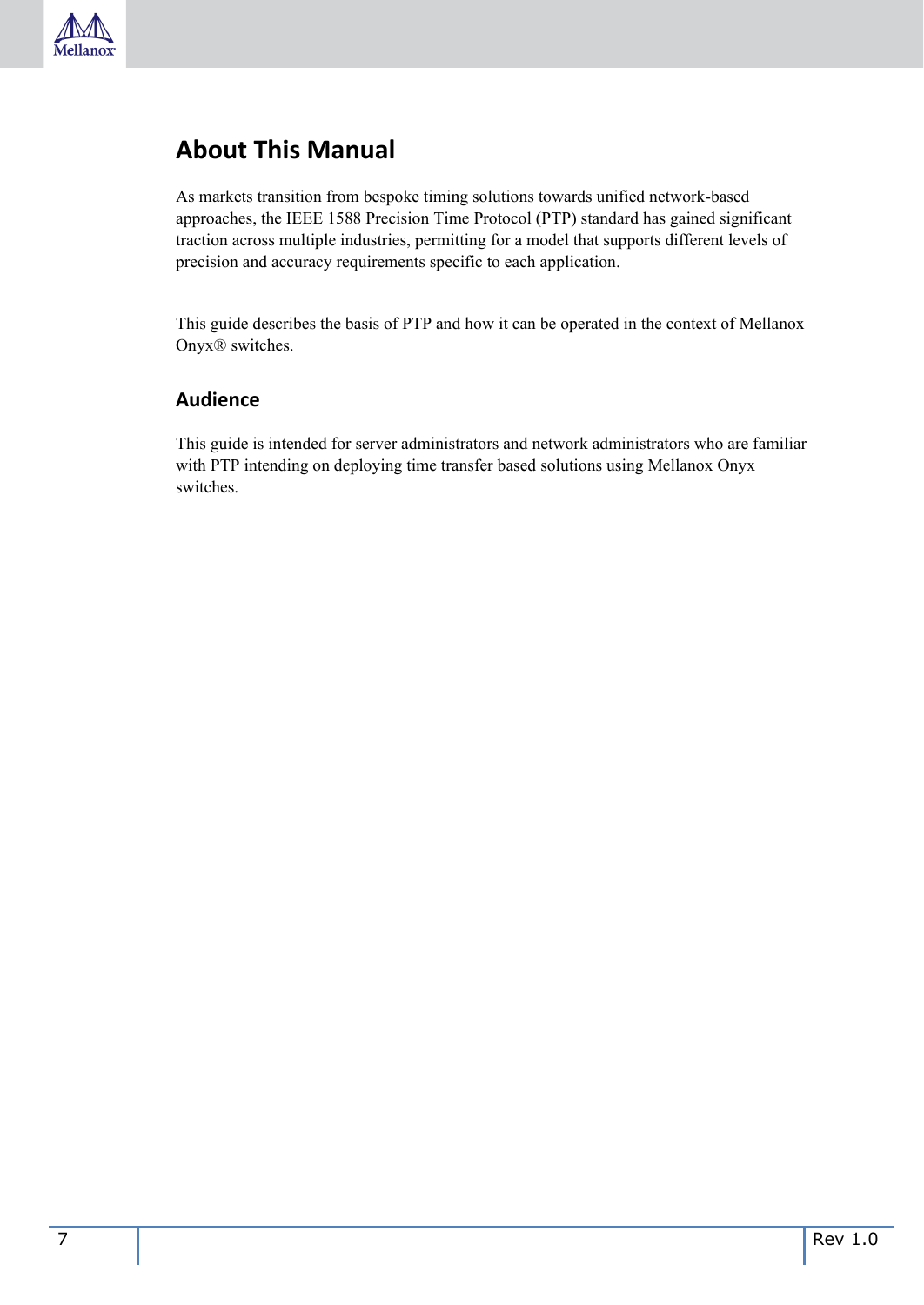

### <span id="page-6-0"></span>**About This Manual**

As markets transition from bespoke timing solutions towards unified network-based approaches, the IEEE 1588 Precision Time Protocol (PTP) standard has gained significant traction across multiple industries, permitting for a model that supports different levels of precision and accuracy requirements specific to each application.

This guide describes the basis of PTP and how it can be operated in the context of Mellanox Onyx® switches.

#### **Audience**

This guide is intended for server administrators and network administrators who are familiar with PTP intending on deploying time transfer based solutions using Mellanox Onyx switches.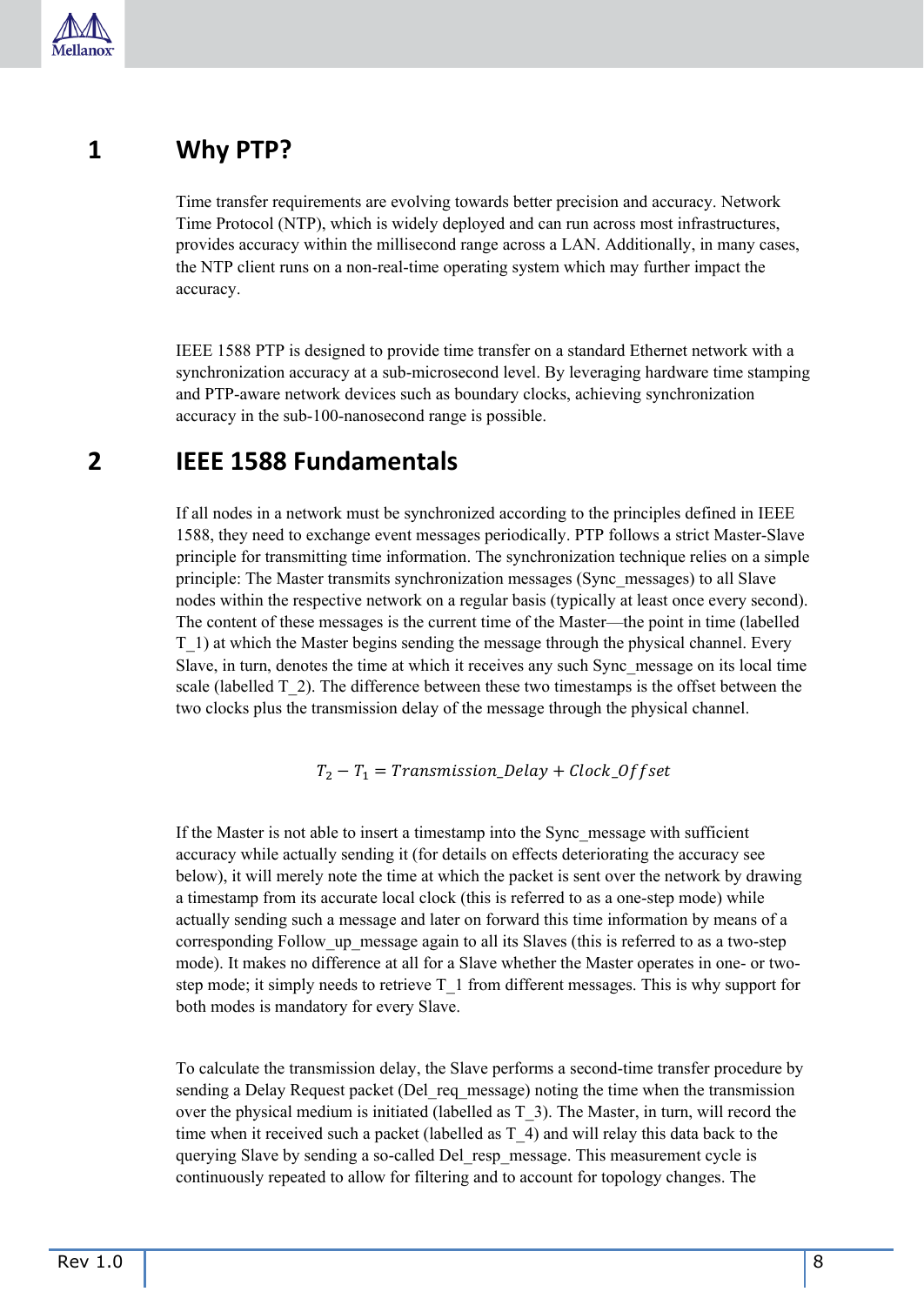

### <span id="page-7-0"></span>**1 Why PTP?**

Time transfer requirements are evolving towards better precision and accuracy. Network Time Protocol (NTP), which is widely deployed and can run across most infrastructures, provides accuracy within the millisecond range across a LAN. Additionally, in many cases, the NTP client runs on a non-real-time operating system which may further impact the accuracy.

IEEE 1588 PTP is designed to provide time transfer on a standard Ethernet network with a synchronization accuracy at a sub-microsecond level. By leveraging hardware time stamping and PTP-aware network devices such as boundary clocks, achieving synchronization accuracy in the sub-100-nanosecond range is possible.

#### <span id="page-7-1"></span>**2 IEEE 1588 Fundamentals**

If all nodes in a network must be synchronized according to the principles defined in IEEE 1588, they need to exchange event messages periodically. PTP follows a strict Master-Slave principle for transmitting time information. The synchronization technique relies on a simple principle: The Master transmits synchronization messages (Sync\_messages) to all Slave nodes within the respective network on a regular basis (typically at least once every second). The content of these messages is the current time of the Master—the point in time (labelled T\_1) at which the Master begins sending the message through the physical channel. Every Slave, in turn, denotes the time at which it receives any such Sync\_message on its local time scale (labelled T\_2). The difference between these two timestamps is the offset between the two clocks plus the transmission delay of the message through the physical channel.

$$
T_2 - T_1 = Transmission\_Delay + Clock\_Offset
$$

If the Master is not able to insert a timestamp into the Sync\_message with sufficient accuracy while actually sending it (for details on effects deteriorating the accuracy see below), it will merely note the time at which the packet is sent over the network by drawing a timestamp from its accurate local clock (this is referred to as a one-step mode) while actually sending such a message and later on forward this time information by means of a corresponding Follow up message again to all its Slaves (this is referred to as a two-step mode). It makes no difference at all for a Slave whether the Master operates in one- or twostep mode; it simply needs to retrieve T\_1 from different messages. This is why support for both modes is mandatory for every Slave.

To calculate the transmission delay, the Slave performs a second-time transfer procedure by sending a Delay Request packet (Del req message) noting the time when the transmission over the physical medium is initiated (labelled as  $T_3$ ). The Master, in turn, will record the time when it received such a packet (labelled as  $T_4$ ) and will relay this data back to the querying Slave by sending a so-called Del resp\_message. This measurement cycle is continuously repeated to allow for filtering and to account for topology changes. The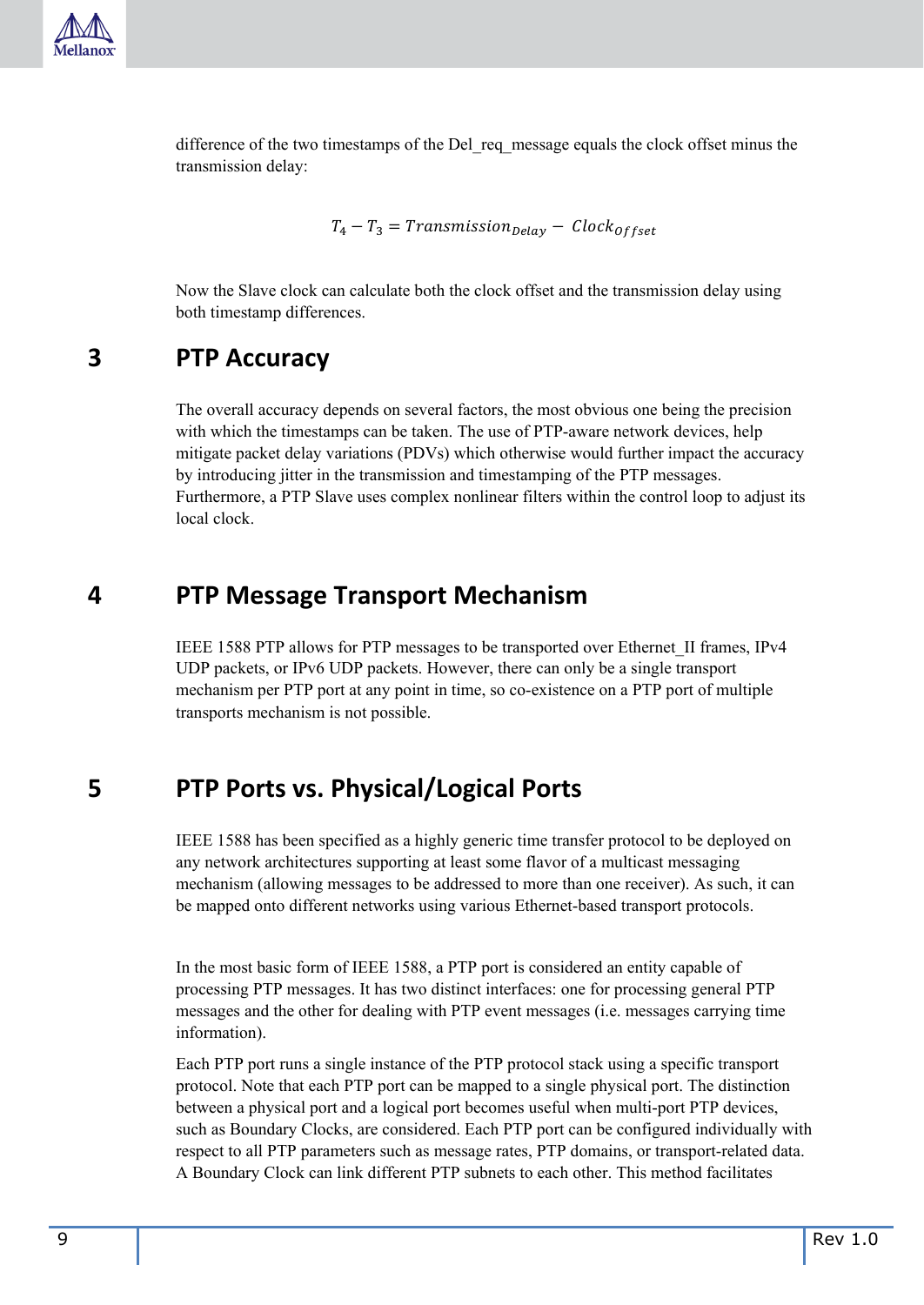

difference of the two timestamps of the Del\_req\_message equals the clock offset minus the transmission delay:

 $T_4 - T_3 = Transmission_{Delay} - Clock_{offset}$ 

Now the Slave clock can calculate both the clock offset and the transmission delay using both timestamp differences.

#### <span id="page-8-0"></span>**3 PTP Accuracy**

The overall accuracy depends on several factors, the most obvious one being the precision with which the timestamps can be taken. The use of PTP-aware network devices, help mitigate packet delay variations (PDVs) which otherwise would further impact the accuracy by introducing jitter in the transmission and timestamping of the PTP messages. Furthermore, a PTP Slave uses complex nonlinear filters within the control loop to adjust its local clock.

### <span id="page-8-1"></span>**4 PTP Message Transport Mechanism**

IEEE 1588 PTP allows for PTP messages to be transported over Ethernet\_II frames, IPv4 UDP packets, or IPv6 UDP packets. However, there can only be a single transport mechanism per PTP port at any point in time, so co-existence on a PTP port of multiple transports mechanism is not possible.

#### <span id="page-8-2"></span>**5 PTP Ports vs. Physical/Logical Ports**

IEEE 1588 has been specified as a highly generic time transfer protocol to be deployed on any network architectures supporting at least some flavor of a multicast messaging mechanism (allowing messages to be addressed to more than one receiver). As such, it can be mapped onto different networks using various Ethernet-based transport protocols.

In the most basic form of IEEE 1588, a PTP port is considered an entity capable of processing PTP messages. It has two distinct interfaces: one for processing general PTP messages and the other for dealing with PTP event messages (i.e. messages carrying time information).

Each PTP port runs a single instance of the PTP protocol stack using a specific transport protocol. Note that each PTP port can be mapped to a single physical port. The distinction between a physical port and a logical port becomes useful when multi-port PTP devices, such as Boundary Clocks, are considered. Each PTP port can be configured individually with respect to all PTP parameters such as message rates, PTP domains, or transport-related data. A Boundary Clock can link different PTP subnets to each other. This method facilitates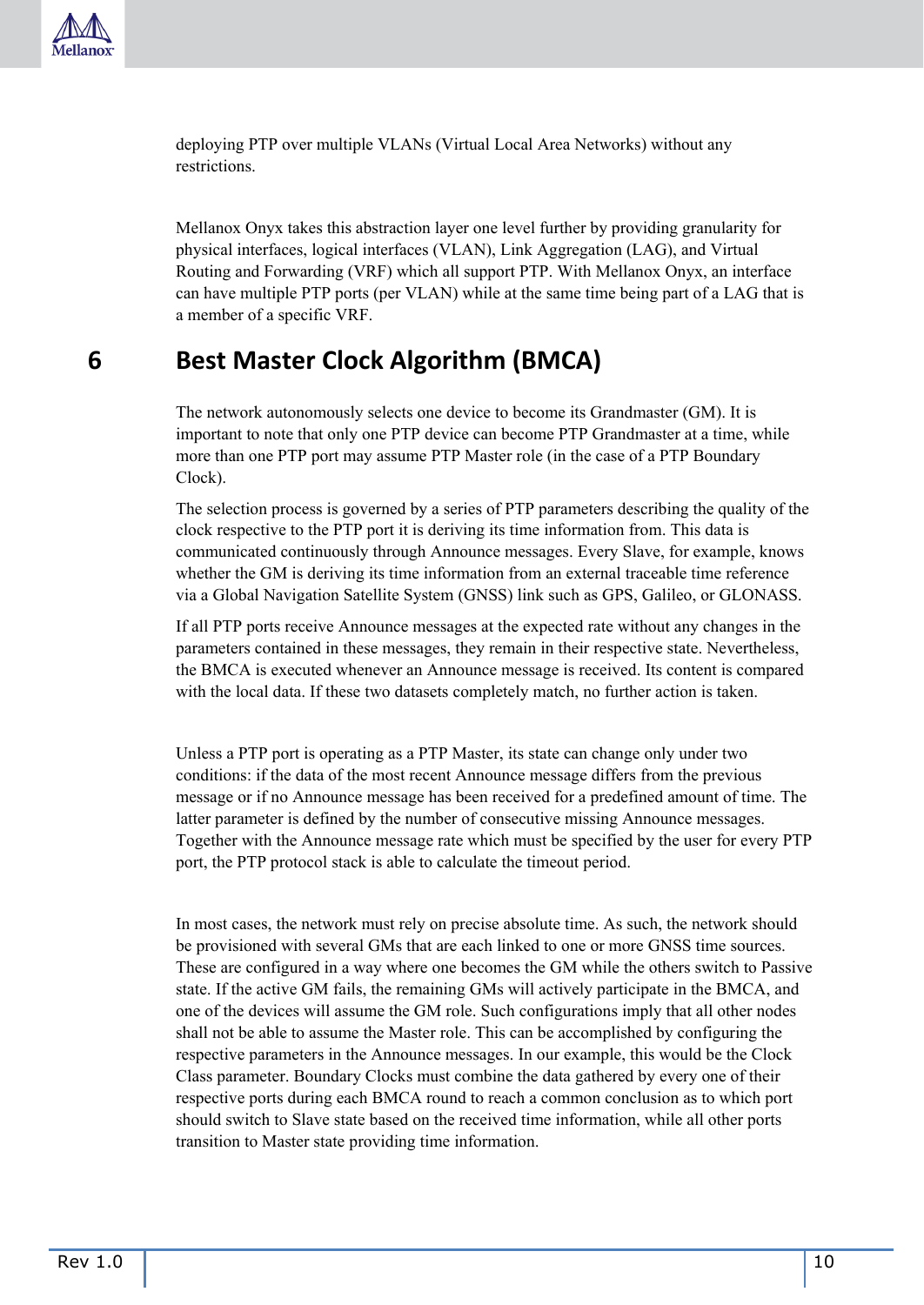deploying PTP over multiple VLANs (Virtual Local Area Networks) without any restrictions.

Mellanox Onyx takes this abstraction layer one level further by providing granularity for physical interfaces, logical interfaces (VLAN), Link Aggregation (LAG), and Virtual Routing and Forwarding (VRF) which all support PTP. With Mellanox Onyx, an interface can have multiple PTP ports (per VLAN) while at the same time being part of a LAG that is a member of a specific VRF.

### <span id="page-9-0"></span>**6 Best Master Clock Algorithm (BMCA)**

The network autonomously selects one device to become its Grandmaster (GM). It is important to note that only one PTP device can become PTP Grandmaster at a time, while more than one PTP port may assume PTP Master role (in the case of a PTP Boundary Clock).

The selection process is governed by a series of PTP parameters describing the quality of the clock respective to the PTP port it is deriving its time information from. This data is communicated continuously through Announce messages. Every Slave, for example, knows whether the GM is deriving its time information from an external traceable time reference via a Global Navigation Satellite System (GNSS) link such as GPS, Galileo, or GLONASS.

If all PTP ports receive Announce messages at the expected rate without any changes in the parameters contained in these messages, they remain in their respective state. Nevertheless, the BMCA is executed whenever an Announce message is received. Its content is compared with the local data. If these two datasets completely match, no further action is taken.

Unless a PTP port is operating as a PTP Master, its state can change only under two conditions: if the data of the most recent Announce message differs from the previous message or if no Announce message has been received for a predefined amount of time. The latter parameter is defined by the number of consecutive missing Announce messages. Together with the Announce message rate which must be specified by the user for every PTP port, the PTP protocol stack is able to calculate the timeout period.

In most cases, the network must rely on precise absolute time. As such, the network should be provisioned with several GMs that are each linked to one or more GNSS time sources. These are configured in a way where one becomes the GM while the others switch to Passive state. If the active GM fails, the remaining GMs will actively participate in the BMCA, and one of the devices will assume the GM role. Such configurations imply that all other nodes shall not be able to assume the Master role. This can be accomplished by configuring the respective parameters in the Announce messages. In our example, this would be the Clock Class parameter. Boundary Clocks must combine the data gathered by every one of their respective ports during each BMCA round to reach a common conclusion as to which port should switch to Slave state based on the received time information, while all other ports transition to Master state providing time information.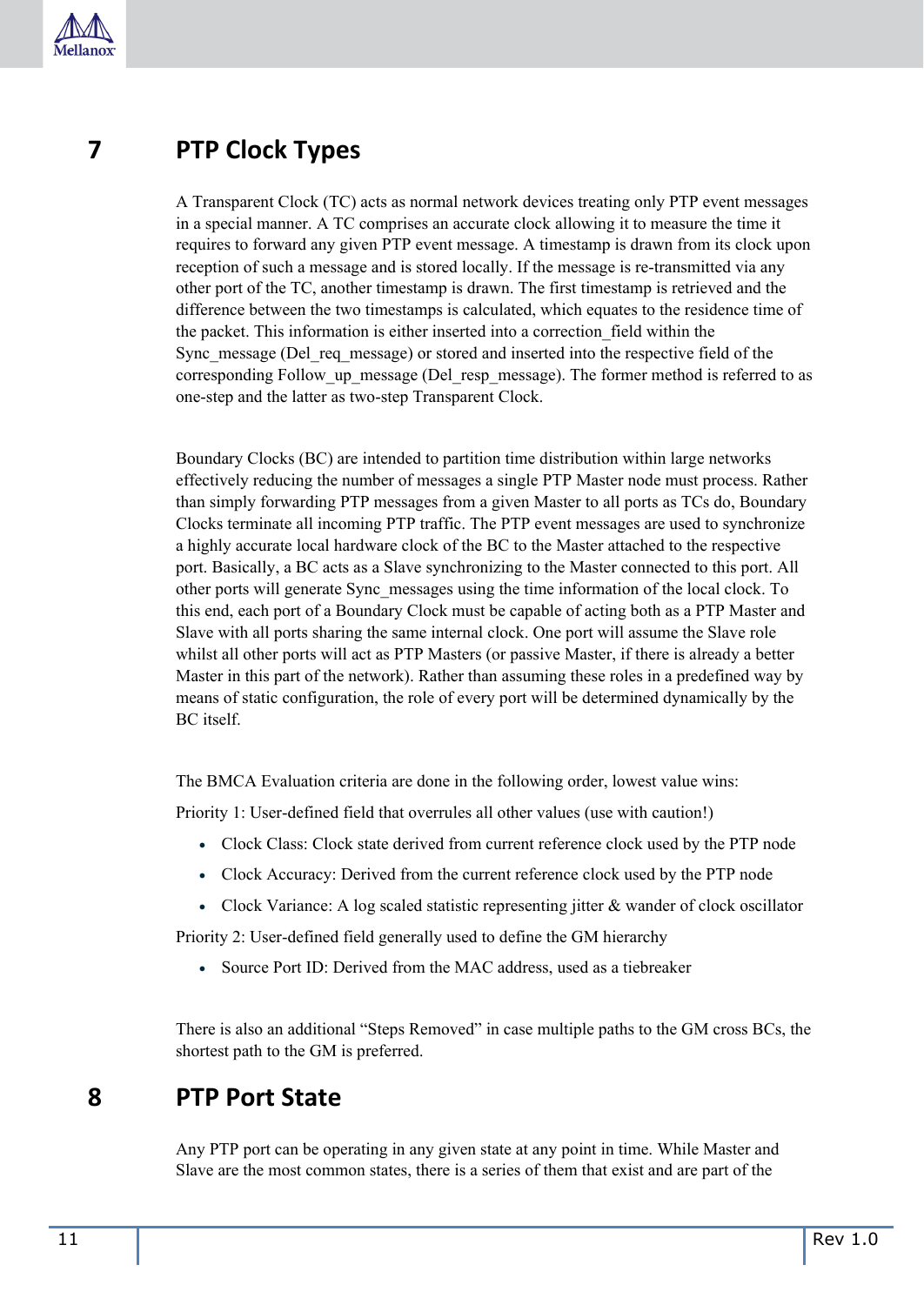

### <span id="page-10-0"></span>**7 PTP Clock Types**

A Transparent Clock (TC) acts as normal network devices treating only PTP event messages in a special manner. A TC comprises an accurate clock allowing it to measure the time it requires to forward any given PTP event message. A timestamp is drawn from its clock upon reception of such a message and is stored locally. If the message is re-transmitted via any other port of the TC, another timestamp is drawn. The first timestamp is retrieved and the difference between the two timestamps is calculated, which equates to the residence time of the packet. This information is either inserted into a correction\_field within the Sync\_message (Del\_req\_message) or stored and inserted into the respective field of the corresponding Follow up message (Del resp message). The former method is referred to as one-step and the latter as two-step Transparent Clock.

Boundary Clocks (BC) are intended to partition time distribution within large networks effectively reducing the number of messages a single PTP Master node must process. Rather than simply forwarding PTP messages from a given Master to all ports as TCs do, Boundary Clocks terminate all incoming PTP traffic. The PTP event messages are used to synchronize a highly accurate local hardware clock of the BC to the Master attached to the respective port. Basically, a BC acts as a Slave synchronizing to the Master connected to this port. All other ports will generate Sync\_messages using the time information of the local clock. To this end, each port of a Boundary Clock must be capable of acting both as a PTP Master and Slave with all ports sharing the same internal clock. One port will assume the Slave role whilst all other ports will act as PTP Masters (or passive Master, if there is already a better Master in this part of the network). Rather than assuming these roles in a predefined way by means of static configuration, the role of every port will be determined dynamically by the BC itself.

The BMCA Evaluation criteria are done in the following order, lowest value wins:

Priority 1: User-defined field that overrules all other values (use with caution!)

- Clock Class: Clock state derived from current reference clock used by the PTP node
- Clock Accuracy: Derived from the current reference clock used by the PTP node
- Clock Variance: A log scaled statistic representing jitter & wander of clock oscillator

Priority 2: User-defined field generally used to define the GM hierarchy

• Source Port ID: Derived from the MAC address, used as a tiebreaker

There is also an additional "Steps Removed" in case multiple paths to the GM cross BCs, the shortest path to the GM is preferred.

### <span id="page-10-1"></span>**8 PTP Port State**

Any PTP port can be operating in any given state at any point in time. While Master and Slave are the most common states, there is a series of them that exist and are part of the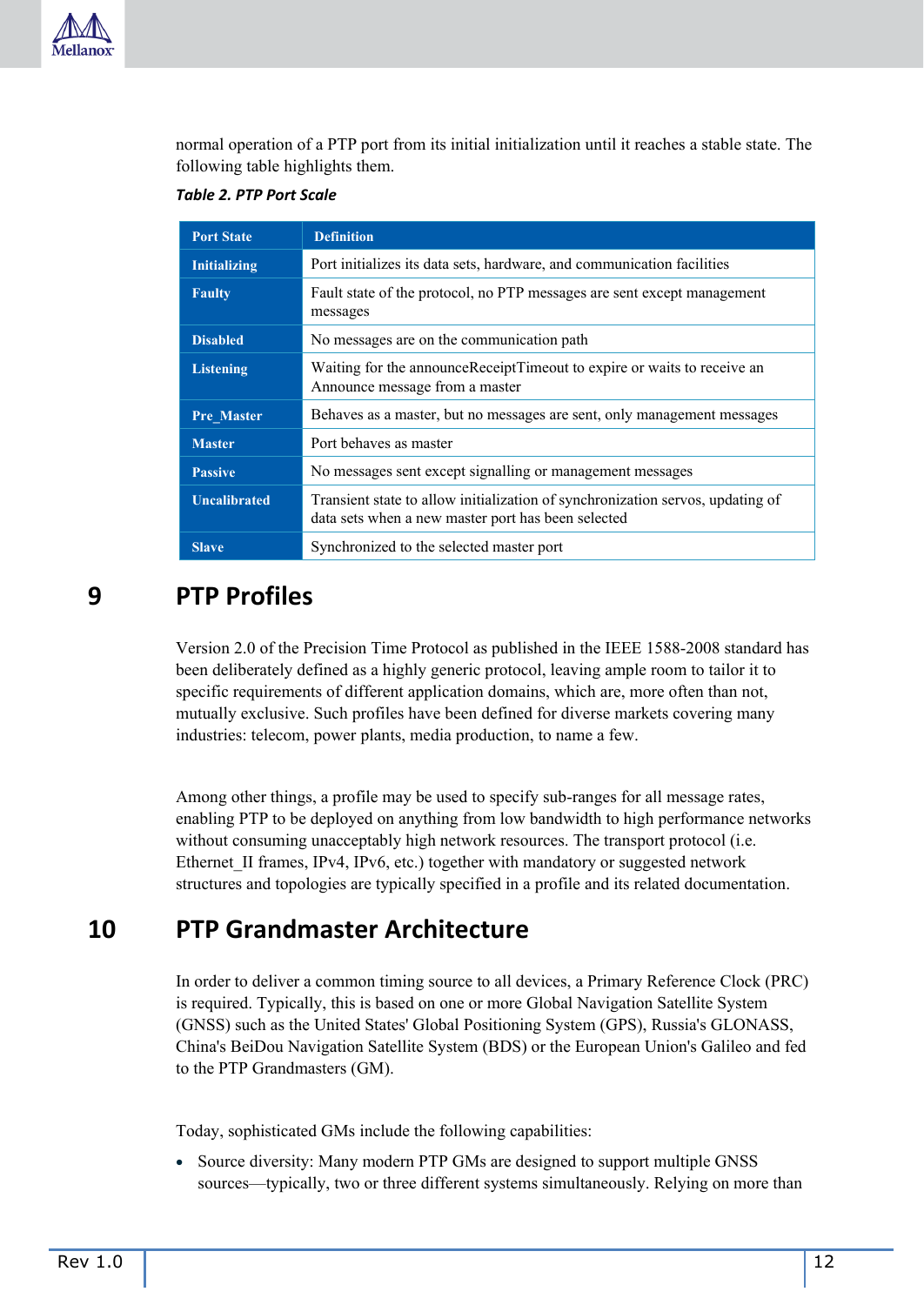

normal operation of a PTP port from its initial initialization until it reaches a stable state. The following table highlights them.

#### <span id="page-11-2"></span>*Table 2. PTP Port Scale*

| <b>Port State</b>   | <b>Definition</b>                                                                                                                    |  |  |
|---------------------|--------------------------------------------------------------------------------------------------------------------------------------|--|--|
| <b>Initializing</b> | Port initializes its data sets, hardware, and communication facilities                                                               |  |  |
| <b>Faulty</b>       | Fault state of the protocol, no PTP messages are sent except management<br>messages                                                  |  |  |
| <b>Disabled</b>     | No messages are on the communication path                                                                                            |  |  |
| <b>Listening</b>    | Waiting for the announceReceiptTimeout to expire or waits to receive an<br>Announce message from a master                            |  |  |
| <b>Pre Master</b>   | Behaves as a master, but no messages are sent, only management messages                                                              |  |  |
| <b>Master</b>       | Port behaves as master                                                                                                               |  |  |
| <b>Passive</b>      | No messages sent except signalling or management messages                                                                            |  |  |
| <b>Uncalibrated</b> | Transient state to allow initialization of synchronization servos, updating of<br>data sets when a new master port has been selected |  |  |
| <b>Slave</b>        | Synchronized to the selected master port                                                                                             |  |  |

### <span id="page-11-0"></span>**9 PTP Profiles**

Version 2.0 of the Precision Time Protocol as published in the IEEE 1588-2008 standard has been deliberately defined as a highly generic protocol, leaving ample room to tailor it to specific requirements of different application domains, which are, more often than not, mutually exclusive. Such profiles have been defined for diverse markets covering many industries: telecom, power plants, media production, to name a few.

Among other things, a profile may be used to specify sub-ranges for all message rates, enabling PTP to be deployed on anything from low bandwidth to high performance networks without consuming unacceptably high network resources. The transport protocol (i.e. Ethernet II frames, IPv4, IPv6, etc.) together with mandatory or suggested network structures and topologies are typically specified in a profile and its related documentation.

### <span id="page-11-1"></span>**10 PTP Grandmaster Architecture**

In order to deliver a common timing source to all devices, a Primary Reference Clock (PRC) is required. Typically, this is based on one or more Global Navigation Satellite System (GNSS) such as the United States' Global Positioning System (GPS), Russia's GLONASS, China's BeiDou Navigation Satellite System (BDS) or the European Union's Galileo and fed to the PTP Grandmasters (GM).

Today, sophisticated GMs include the following capabilities:

• Source diversity: Many modern PTP GMs are designed to support multiple GNSS sources—typically, two or three different systems simultaneously. Relying on more than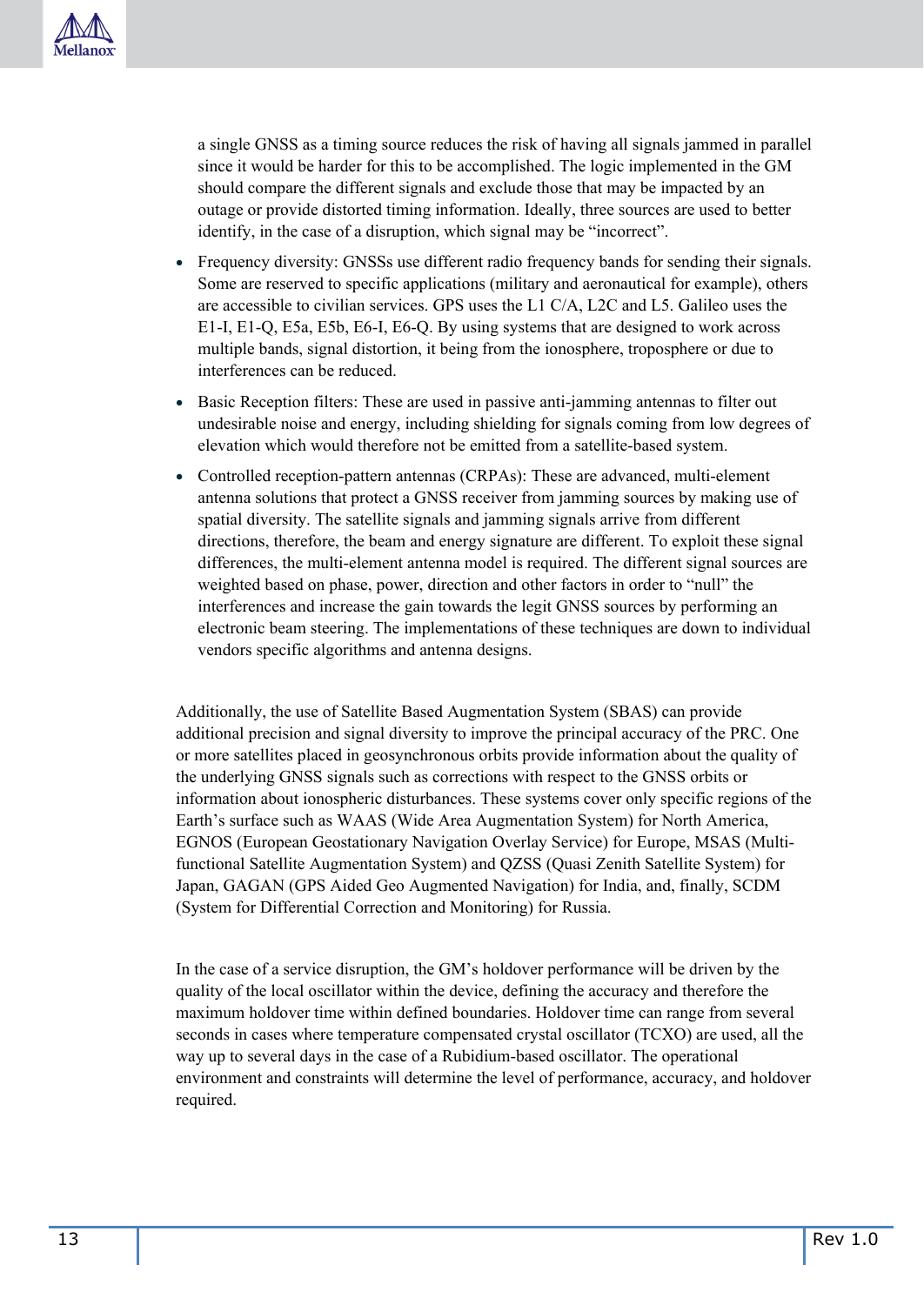a single GNSS as a timing source reduces the risk of having all signals jammed in parallel since it would be harder for this to be accomplished. The logic implemented in the GM should compare the different signals and exclude those that may be impacted by an outage or provide distorted timing information. Ideally, three sources are used to better identify, in the case of a disruption, which signal may be "incorrect".

- Frequency diversity: GNSSs use different radio frequency bands for sending their signals. Some are reserved to specific applications (military and aeronautical for example), others are accessible to civilian services. GPS uses the L1 C/A, L2C and L5. Galileo uses the E1-I, E1-Q, E5a, E5b, E6-I, E6-Q. By using systems that are designed to work across multiple bands, signal distortion, it being from the ionosphere, troposphere or due to interferences can be reduced.
- Basic Reception filters: These are used in passive anti-jamming antennas to filter out undesirable noise and energy, including shielding for signals coming from low degrees of elevation which would therefore not be emitted from a satellite-based system.
- Controlled reception-pattern antennas (CRPAs): These are advanced, multi-element antenna solutions that protect a GNSS receiver from jamming sources by making use of spatial diversity. The satellite signals and jamming signals arrive from different directions, therefore, the beam and energy signature are different. To exploit these signal differences, the multi-element antenna model is required. The different signal sources are weighted based on phase, power, direction and other factors in order to "null" the interferences and increase the gain towards the legit GNSS sources by performing an electronic beam steering. The implementations of these techniques are down to individual vendors specific algorithms and antenna designs.

Additionally, the use of Satellite Based Augmentation System (SBAS) can provide additional precision and signal diversity to improve the principal accuracy of the PRC. One or more satellites placed in geosynchronous orbits provide information about the quality of the underlying GNSS signals such as corrections with respect to the GNSS orbits or information about ionospheric disturbances. These systems cover only specific regions of the Earth's surface such as WAAS (Wide Area Augmentation System) for North America, EGNOS (European Geostationary Navigation Overlay Service) for Europe, MSAS (Multifunctional Satellite Augmentation System) and QZSS (Quasi Zenith Satellite System) for Japan, GAGAN (GPS Aided Geo Augmented Navigation) for India, and, finally, SCDM (System for Differential Correction and Monitoring) for Russia.

In the case of a service disruption, the GM's holdover performance will be driven by the quality of the local oscillator within the device, defining the accuracy and therefore the maximum holdover time within defined boundaries. Holdover time can range from several seconds in cases where temperature compensated crystal oscillator (TCXO) are used, all the way up to several days in the case of a Rubidium-based oscillator. The operational environment and constraints will determine the level of performance, accuracy, and holdover required.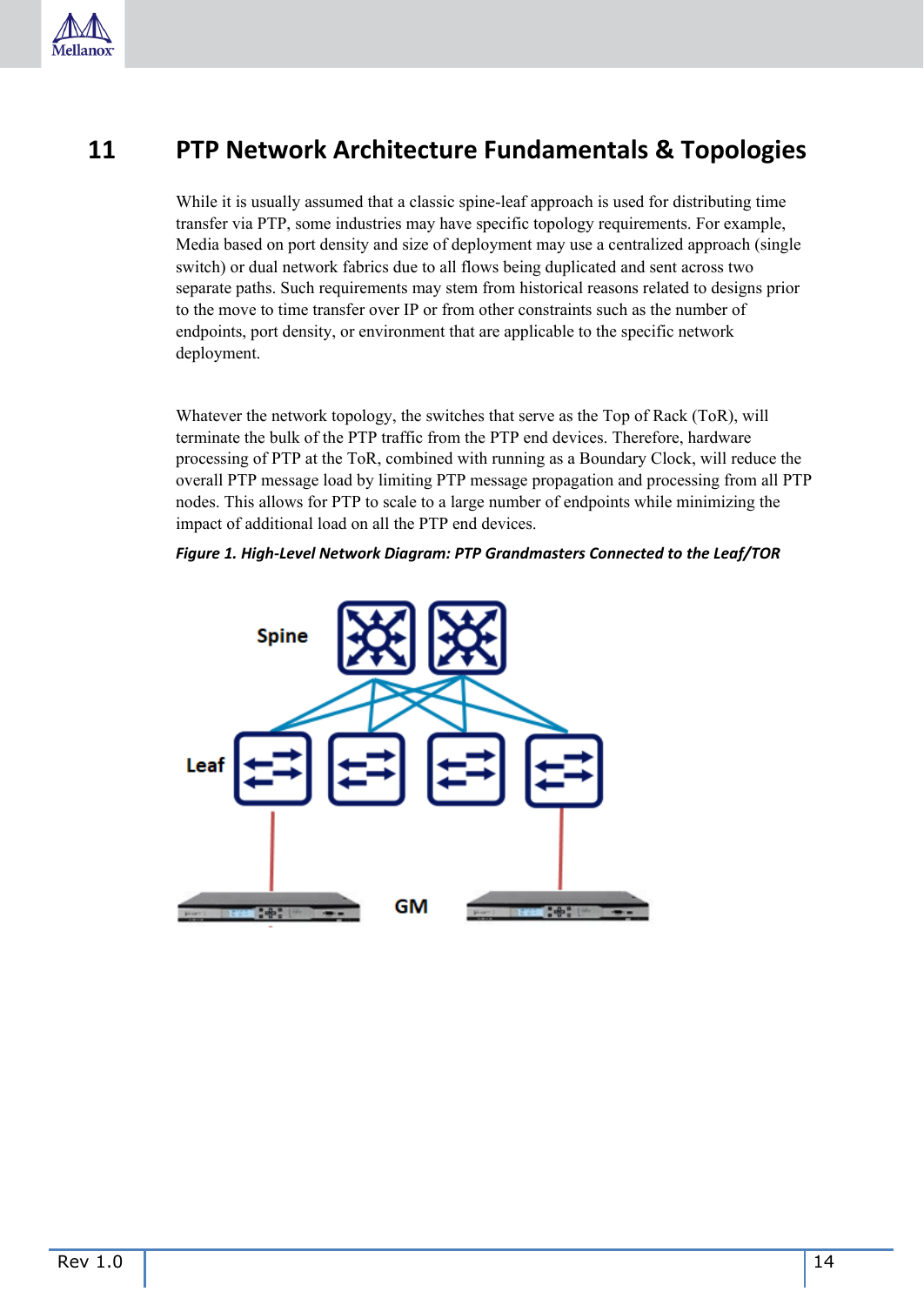

### <span id="page-13-0"></span>**11 PTP Network Architecture Fundamentals & Topologies**

While it is usually assumed that a classic spine-leaf approach is used for distributing time transfer via PTP, some industries may have specific topology requirements. For example, Media based on port density and size of deployment may use a centralized approach (single switch) or dual network fabrics due to all flows being duplicated and sent across two separate paths. Such requirements may stem from historical reasons related to designs prior to the move to time transfer over IP or from other constraints such as the number of endpoints, port density, or environment that are applicable to the specific network deployment.

Whatever the network topology, the switches that serve as the Top of Rack (ToR), will terminate the bulk of the PTP traffic from the PTP end devices. Therefore, hardware processing of PTP at the ToR, combined with running as a Boundary Clock, will reduce the overall PTP message load by limiting PTP message propagation and processing from all PTP nodes. This allows for PTP to scale to a large number of endpoints while minimizing the impact of additional load on all the PTP end devices.

#### *Figure 1. High-Level Network Diagram: PTP Grandmasters Connected to the Leaf/TOR*

<span id="page-13-1"></span>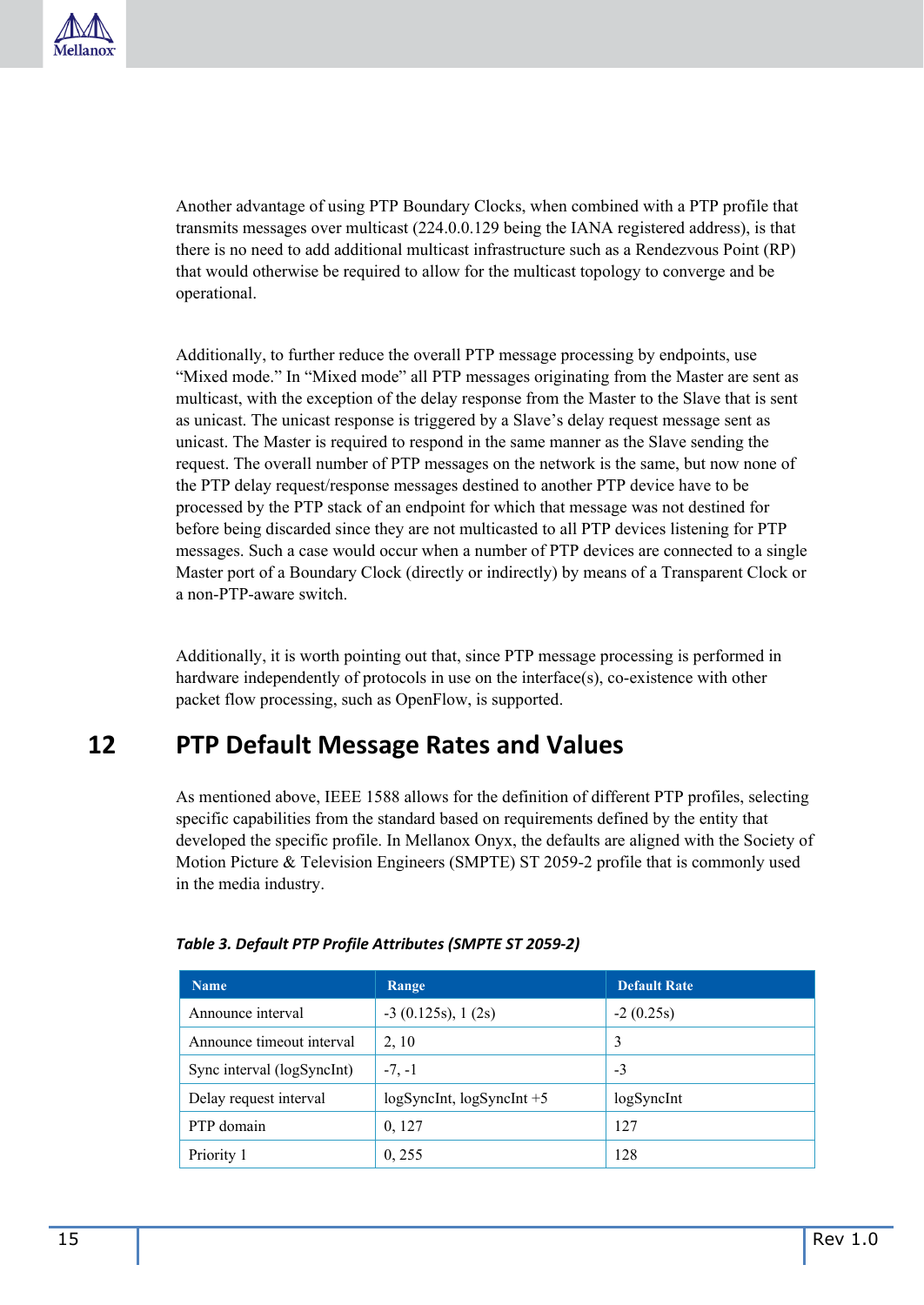Another advantage of using PTP Boundary Clocks, when combined with a PTP profile that transmits messages over multicast (224.0.0.129 being the IANA registered address), is that there is no need to add additional multicast infrastructure such as a Rendezvous Point (RP) that would otherwise be required to allow for the multicast topology to converge and be operational.

Additionally, to further reduce the overall PTP message processing by endpoints, use "Mixed mode." In "Mixed mode" all PTP messages originating from the Master are sent as multicast, with the exception of the delay response from the Master to the Slave that is sent as unicast. The unicast response is triggered by a Slave's delay request message sent as unicast. The Master is required to respond in the same manner as the Slave sending the request. The overall number of PTP messages on the network is the same, but now none of the PTP delay request/response messages destined to another PTP device have to be processed by the PTP stack of an endpoint for which that message was not destined for before being discarded since they are not multicasted to all PTP devices listening for PTP messages. Such a case would occur when a number of PTP devices are connected to a single Master port of a Boundary Clock (directly or indirectly) by means of a Transparent Clock or a non-PTP-aware switch.

Additionally, it is worth pointing out that, since PTP message processing is performed in hardware independently of protocols in use on the interface(s), co-existence with other packet flow processing, such as OpenFlow, is supported.

### <span id="page-14-0"></span>**12 PTP Default Message Rates and Values**

As mentioned above, IEEE 1588 allows for the definition of different PTP profiles, selecting specific capabilities from the standard based on requirements defined by the entity that developed the specific profile. In Mellanox Onyx, the defaults are aligned with the Society of Motion Picture & Television Engineers (SMPTE) ST 2059-2 profile that is commonly used in the media industry.

| <b>Name</b>                | Range                     | <b>Default Rate</b> |
|----------------------------|---------------------------|---------------------|
| Announce interval          | $-3$ (0.125s), 1 (2s)     | $-2(0.25s)$         |
| Announce timeout interval  | 2, 10                     | 3                   |
| Sync interval (logSyncInt) | $-7, -1$                  | $-3$                |
| Delay request interval     | logSyncInt, logSyncInt +5 | logSyncInt          |
| PTP domain                 | 0, 127                    | 127                 |
| Priority 1                 | 0, 255                    | 128                 |

#### <span id="page-14-1"></span>*Table 3. Default PTP Profile Attributes (SMPTE ST 2059-2)*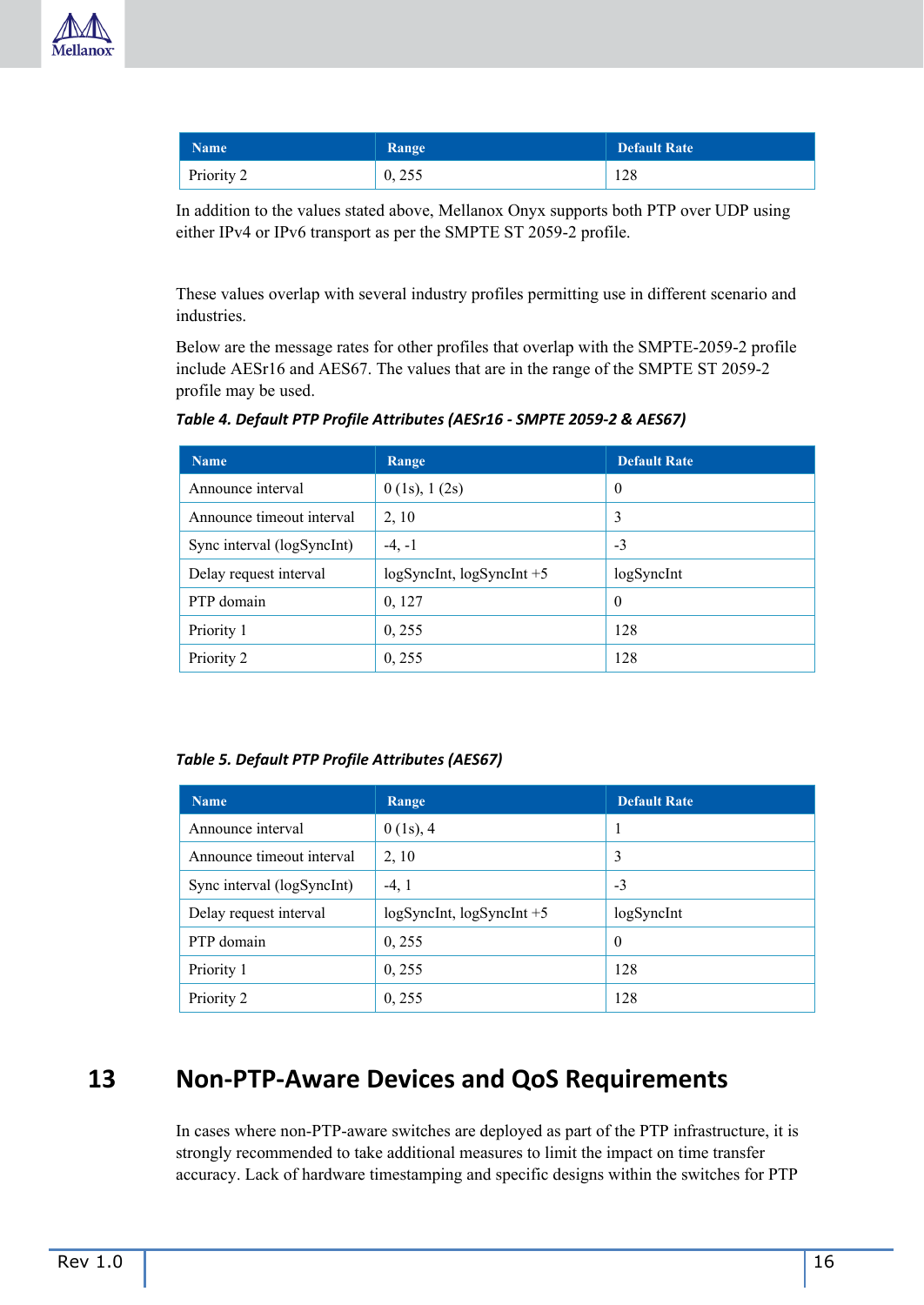

| <b>Name</b> | Range  | <b>Default Rate</b> |
|-------------|--------|---------------------|
| Priority 2  | 0, 255 | 128                 |

In addition to the values stated above, Mellanox Onyx supports both PTP over UDP using either IPv4 or IPv6 transport as per the SMPTE ST 2059-2 profile.

These values overlap with several industry profiles permitting use in different scenario and industries.

Below are the message rates for other profiles that overlap with the SMPTE-2059-2 profile include AESr16 and AES67. The values that are in the range of the SMPTE ST 2059-2 profile may be used.

<span id="page-15-1"></span>

| Table 4. Default PTP Profile Attributes (AESr16 - SMPTE 2059-2 & AES67) |  |
|-------------------------------------------------------------------------|--|
|-------------------------------------------------------------------------|--|

| <b>Name</b>                | Range                           | <b>Default Rate</b> |
|----------------------------|---------------------------------|---------------------|
| Announce interval          | $0$ (1s), 1 (2s)                | $\theta$            |
| Announce timeout interval  | 2, 10                           | 3                   |
| Sync interval (logSyncInt) | $-4, -1$                        | $-3$                |
| Delay request interval     | $logSynclnt$ , $logSynclnt + 5$ | logSyncInt          |
| PTP domain                 | 0, 127                          | $\theta$            |
| Priority 1                 | 0, 255                          | 128                 |
| Priority 2                 | 0, 255                          | 128                 |

<span id="page-15-2"></span>*Table 5. Default PTP Profile Attributes (AES67)*

| <b>Name</b>                | Range                           | <b>Default Rate</b> |
|----------------------------|---------------------------------|---------------------|
| Announce interval          | $0(1s)$ , 4                     |                     |
| Announce timeout interval  | 2, 10                           | 3                   |
| Sync interval (logSyncInt) | $-4, 1$                         | $-3$                |
| Delay request interval     | $logSynclnt$ , $logSynclnt + 5$ | logSyncInt          |
| PTP domain                 | 0, 255                          | $\theta$            |
| Priority 1                 | 0, 255                          | 128                 |
| Priority 2                 | 0, 255                          | 128                 |

### <span id="page-15-0"></span>**13 Non-PTP-Aware Devices and QoS Requirements**

In cases where non-PTP-aware switches are deployed as part of the PTP infrastructure, it is strongly recommended to take additional measures to limit the impact on time transfer accuracy. Lack of hardware timestamping and specific designs within the switches for PTP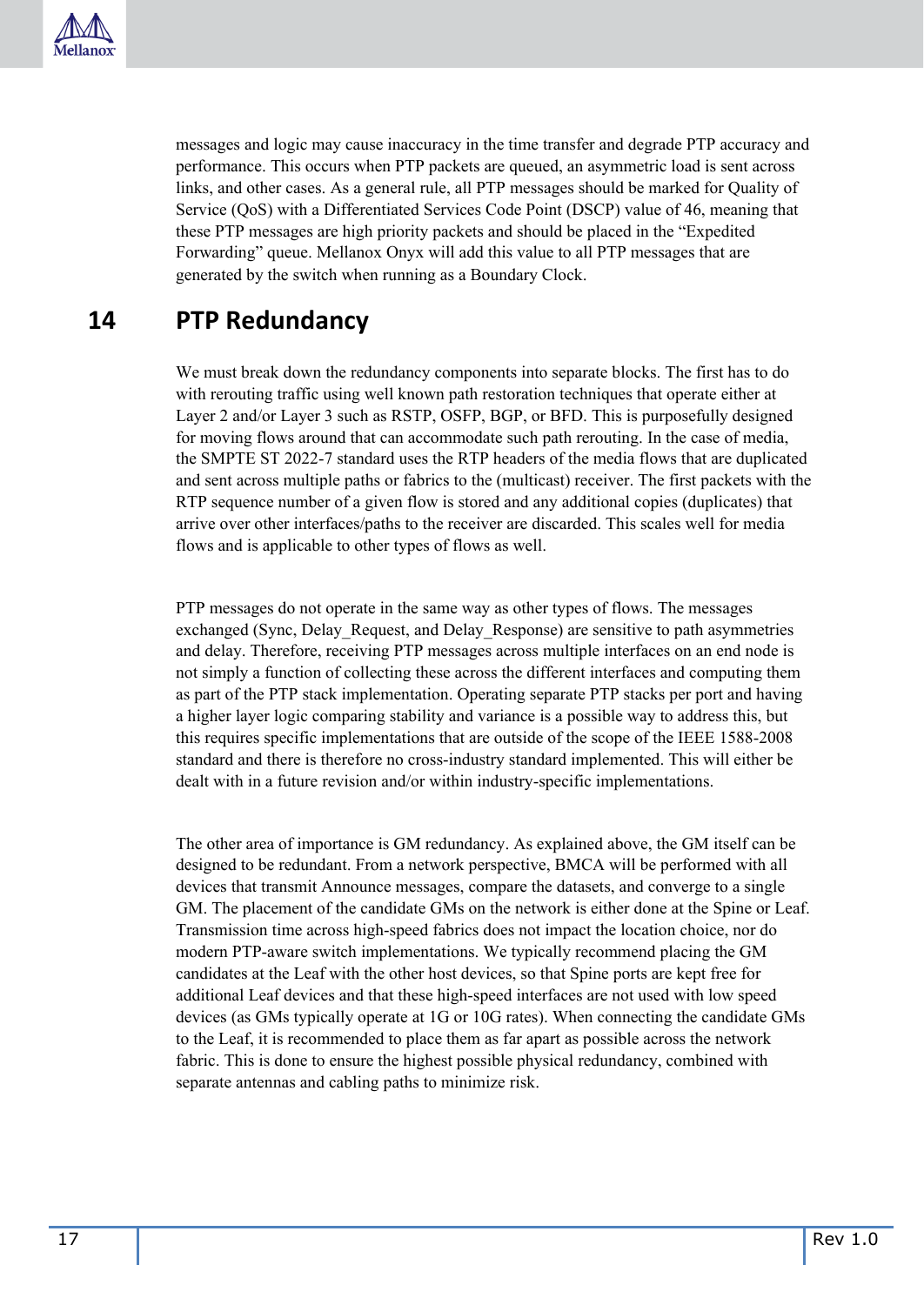

messages and logic may cause inaccuracy in the time transfer and degrade PTP accuracy and performance. This occurs when PTP packets are queued, an asymmetric load is sent across links, and other cases. As a general rule, all PTP messages should be marked for Quality of Service (QoS) with a Differentiated Services Code Point (DSCP) value of 46, meaning that these PTP messages are high priority packets and should be placed in the "Expedited Forwarding" queue. Mellanox Onyx will add this value to all PTP messages that are generated by the switch when running as a Boundary Clock.

### <span id="page-16-0"></span>**14 PTP Redundancy**

We must break down the redundancy components into separate blocks. The first has to do with rerouting traffic using well known path restoration techniques that operate either at Layer 2 and/or Layer 3 such as RSTP, OSFP, BGP, or BFD. This is purposefully designed for moving flows around that can accommodate such path rerouting. In the case of media, the SMPTE ST 2022-7 standard uses the RTP headers of the media flows that are duplicated and sent across multiple paths or fabrics to the (multicast) receiver. The first packets with the RTP sequence number of a given flow is stored and any additional copies (duplicates) that arrive over other interfaces/paths to the receiver are discarded. This scales well for media flows and is applicable to other types of flows as well.

PTP messages do not operate in the same way as other types of flows. The messages exchanged (Sync, Delay\_Request, and Delay\_Response) are sensitive to path asymmetries and delay. Therefore, receiving PTP messages across multiple interfaces on an end node is not simply a function of collecting these across the different interfaces and computing them as part of the PTP stack implementation. Operating separate PTP stacks per port and having a higher layer logic comparing stability and variance is a possible way to address this, but this requires specific implementations that are outside of the scope of the IEEE 1588-2008 standard and there is therefore no cross-industry standard implemented. This will either be dealt with in a future revision and/or within industry-specific implementations.

The other area of importance is GM redundancy. As explained above, the GM itself can be designed to be redundant. From a network perspective, BMCA will be performed with all devices that transmit Announce messages, compare the datasets, and converge to a single GM. The placement of the candidate GMs on the network is either done at the Spine or Leaf. Transmission time across high-speed fabrics does not impact the location choice, nor do modern PTP-aware switch implementations. We typically recommend placing the GM candidates at the Leaf with the other host devices, so that Spine ports are kept free for additional Leaf devices and that these high-speed interfaces are not used with low speed devices (as GMs typically operate at 1G or 10G rates). When connecting the candidate GMs to the Leaf, it is recommended to place them as far apart as possible across the network fabric. This is done to ensure the highest possible physical redundancy, combined with separate antennas and cabling paths to minimize risk.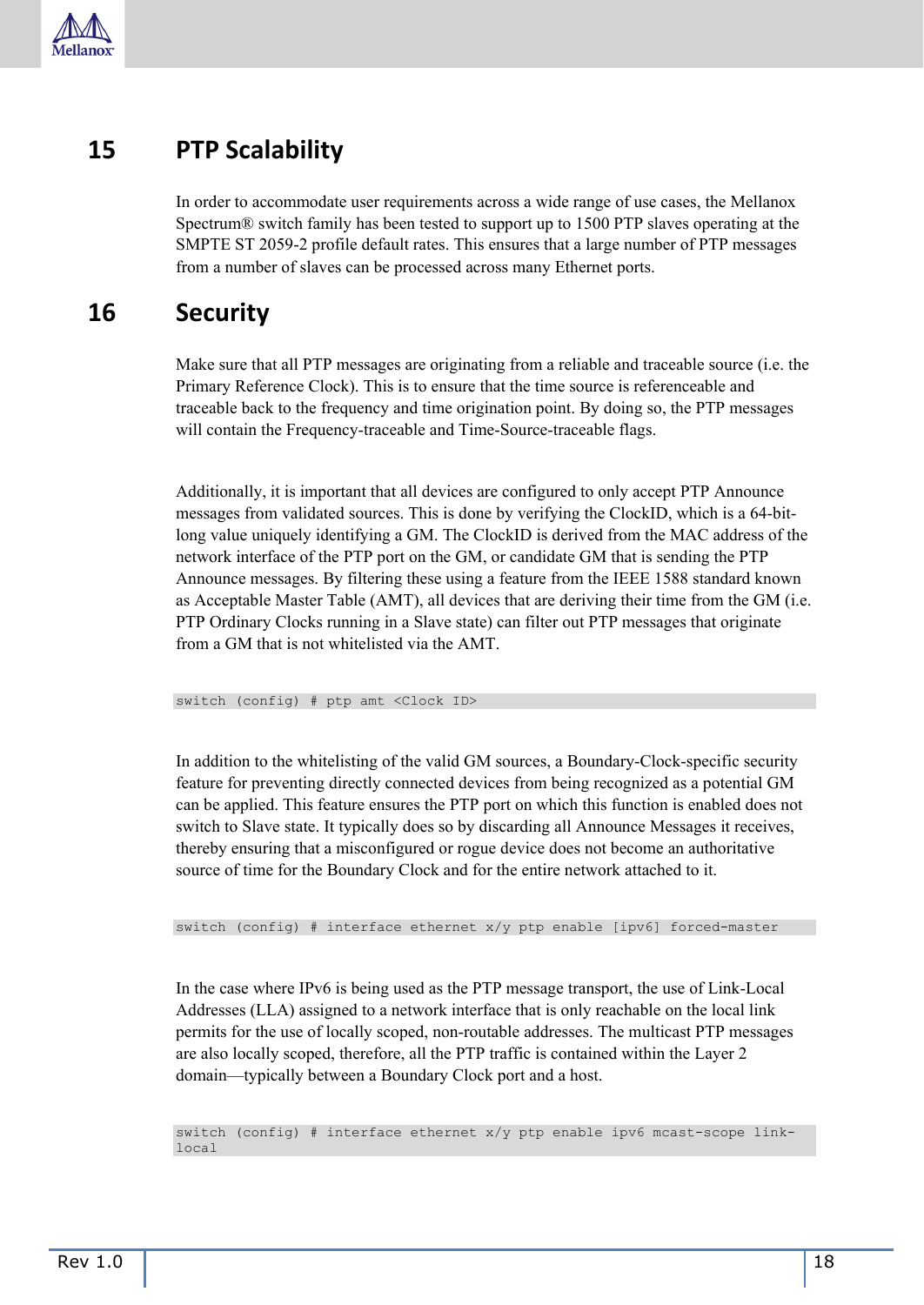

### <span id="page-17-0"></span>**15 PTP Scalability**

In order to accommodate user requirements across a wide range of use cases, the Mellanox Spectrum® switch family has been tested to support up to 1500 PTP slaves operating at the SMPTE ST 2059-2 profile default rates. This ensures that a large number of PTP messages from a number of slaves can be processed across many Ethernet ports.

### <span id="page-17-1"></span>**16 Security**

Make sure that all PTP messages are originating from a reliable and traceable source (i.e. the Primary Reference Clock). This is to ensure that the time source is referenceable and traceable back to the frequency and time origination point. By doing so, the PTP messages will contain the Frequency-traceable and Time-Source-traceable flags.

Additionally, it is important that all devices are configured to only accept PTP Announce messages from validated sources. This is done by verifying the ClockID, which is a 64-bitlong value uniquely identifying a GM. The ClockID is derived from the MAC address of the network interface of the PTP port on the GM, or candidate GM that is sending the PTP Announce messages. By filtering these using a feature from the IEEE 1588 standard known as Acceptable Master Table (AMT), all devices that are deriving their time from the GM (i.e. PTP Ordinary Clocks running in a Slave state) can filter out PTP messages that originate from a GM that is not whitelisted via the AMT.

switch (config) # ptp amt <Clock ID>

In addition to the whitelisting of the valid GM sources, a Boundary-Clock-specific security feature for preventing directly connected devices from being recognized as a potential GM can be applied. This feature ensures the PTP port on which this function is enabled does not switch to Slave state. It typically does so by discarding all Announce Messages it receives, thereby ensuring that a misconfigured or rogue device does not become an authoritative source of time for the Boundary Clock and for the entire network attached to it.

switch (config) # interface ethernet x/y ptp enable [ipv6] forced-master

In the case where IPv6 is being used as the PTP message transport, the use of Link-Local Addresses (LLA) assigned to a network interface that is only reachable on the local link permits for the use of locally scoped, non-routable addresses. The multicast PTP messages are also locally scoped, therefore, all the PTP traffic is contained within the Layer 2 domain—typically between a Boundary Clock port and a host.

switch (config) # interface ethernet x/y ptp enable ipv6 mcast-scope linklocal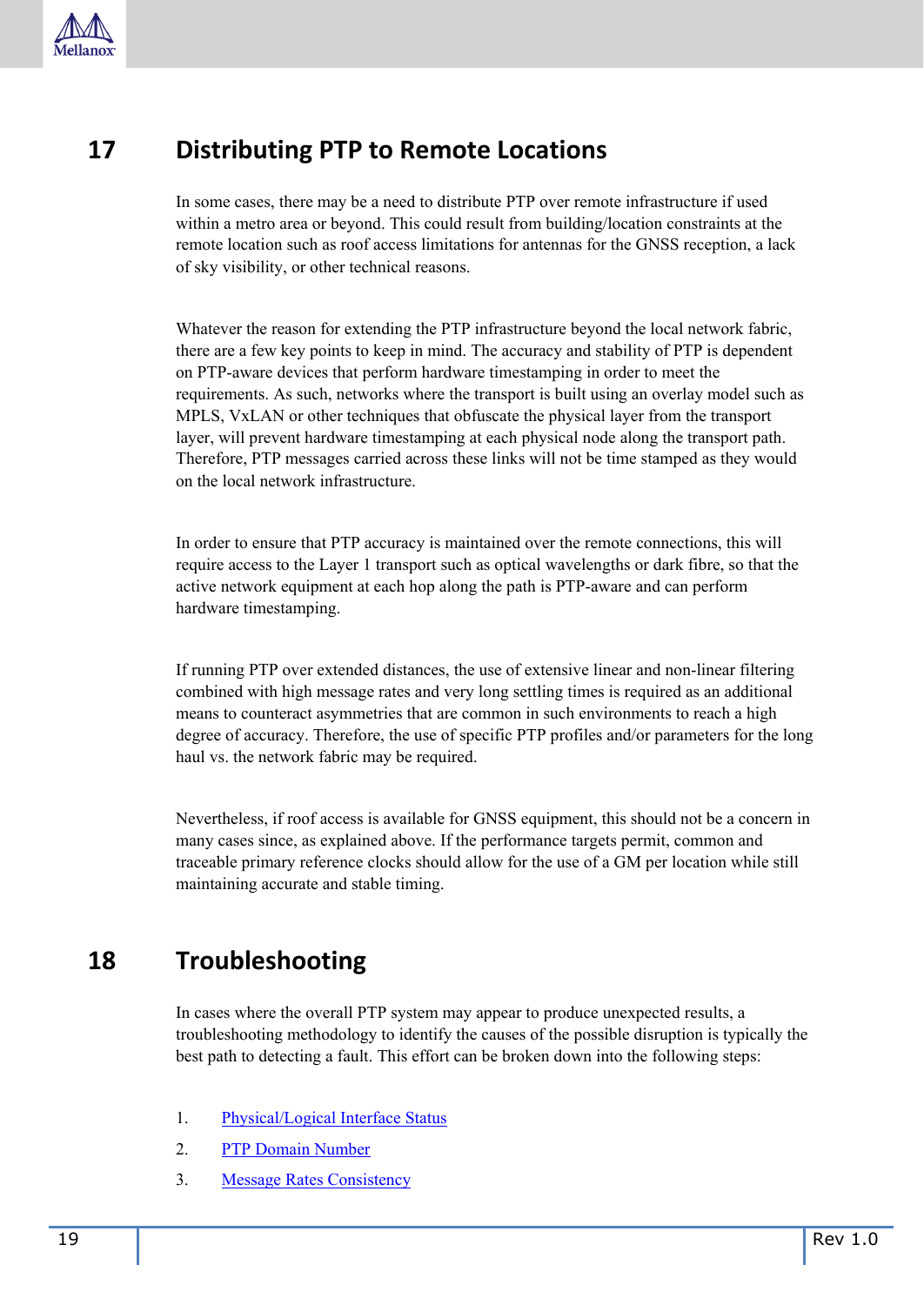

### <span id="page-18-0"></span>**17 Distributing PTP to Remote Locations**

In some cases, there may be a need to distribute PTP over remote infrastructure if used within a metro area or beyond. This could result from building/location constraints at the remote location such as roof access limitations for antennas for the GNSS reception, a lack of sky visibility, or other technical reasons.

Whatever the reason for extending the PTP infrastructure beyond the local network fabric, there are a few key points to keep in mind. The accuracy and stability of PTP is dependent on PTP-aware devices that perform hardware timestamping in order to meet the requirements. As such, networks where the transport is built using an overlay model such as MPLS, VxLAN or other techniques that obfuscate the physical layer from the transport layer, will prevent hardware timestamping at each physical node along the transport path. Therefore, PTP messages carried across these links will not be time stamped as they would on the local network infrastructure.

In order to ensure that PTP accuracy is maintained over the remote connections, this will require access to the Layer 1 transport such as optical wavelengths or dark fibre, so that the active network equipment at each hop along the path is PTP-aware and can perform hardware timestamping.

If running PTP over extended distances, the use of extensive linear and non-linear filtering combined with high message rates and very long settling times is required as an additional means to counteract asymmetries that are common in such environments to reach a high degree of accuracy. Therefore, the use of specific PTP profiles and/or parameters for the long haul vs. the network fabric may be required.

Nevertheless, if roof access is available for GNSS equipment, this should not be a concern in many cases since, as explained above. If the performance targets permit, common and traceable primary reference clocks should allow for the use of a GM per location while still maintaining accurate and stable timing.

### <span id="page-18-1"></span>**18 Troubleshooting**

In cases where the overall PTP system may appear to produce unexpected results, a troubleshooting methodology to identify the causes of the possible disruption is typically the best path to detecting a fault. This effort can be broken down into the following steps:

- 1. [Physical/Logical Interface Status](#page-19-0)
- 2. [PTP Domain Number](#page-19-1)
- 3. [Message Rates Consistency](#page-20-0)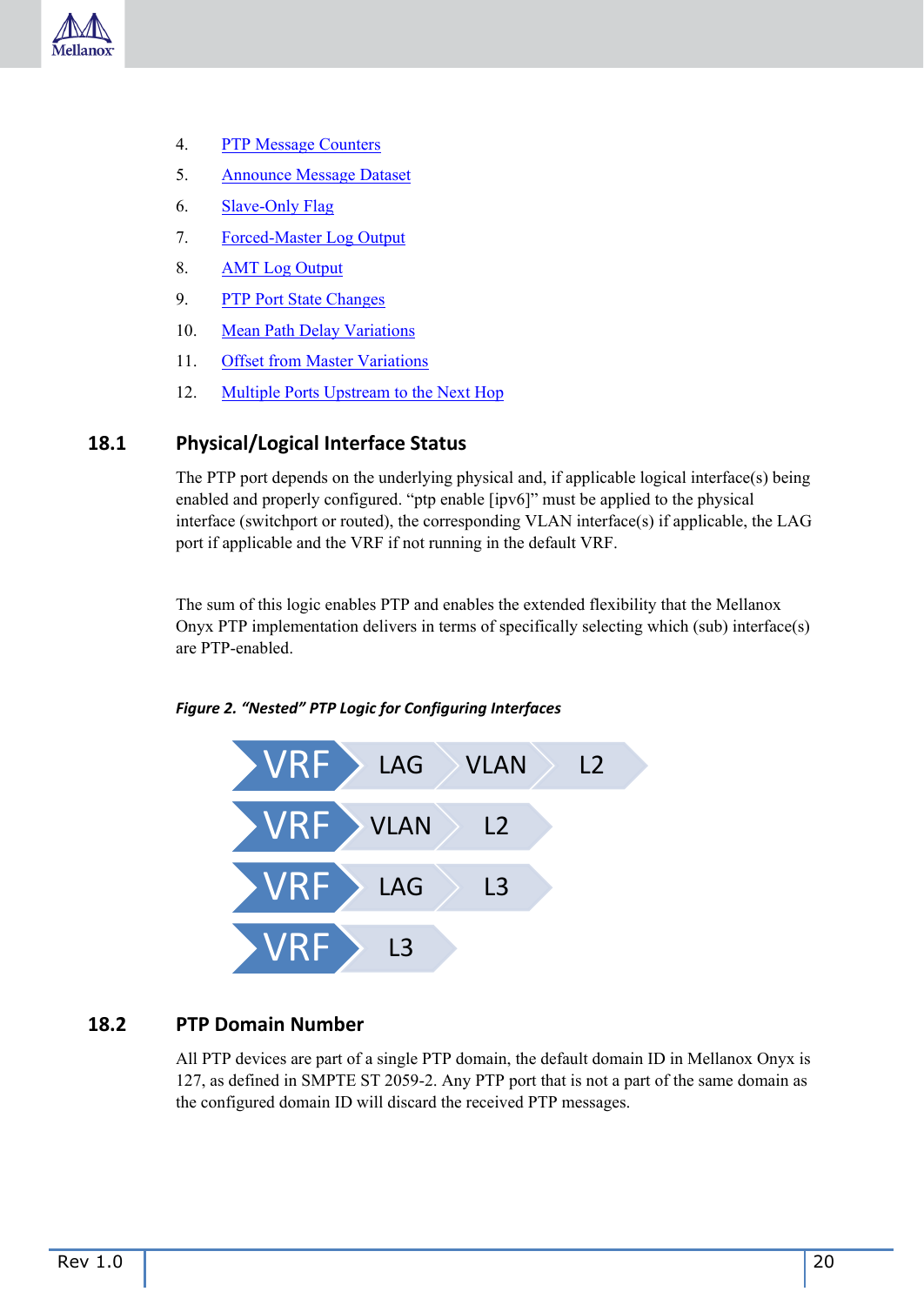

- 4. [PTP Message Counters](#page-20-1)
- 5. [Announce Message Dataset](#page-20-2)
- 6. [Slave-Only Flag](#page-21-0)
- 7. [Forced-Master Log Output](#page-21-1)
- 8. [AMT Log Output](#page-21-2)
- 9. [PTP Port State Changes](#page-21-3)
- 10. [Mean Path Delay Variations](#page-21-4)
- 11. [Offset from Master Variations](#page-22-0)
- 12. [Multiple Ports Upstream to the Next Hop](#page-22-1)

#### <span id="page-19-0"></span>**18.1 Physical/Logical Interface Status**

The PTP port depends on the underlying physical and, if applicable logical interface(s) being enabled and properly configured. "ptp enable [ipv6]" must be applied to the physical interface (switchport or routed), the corresponding VLAN interface(s) if applicable, the LAG port if applicable and the VRF if not running in the default VRF.

The sum of this logic enables PTP and enables the extended flexibility that the Mellanox Onyx PTP implementation delivers in terms of specifically selecting which (sub) interface(s) are PTP-enabled.



<span id="page-19-2"></span>*Figure 2. "Nested" PTP Logic for Configuring Interfaces*

#### <span id="page-19-1"></span>**18.2 PTP Domain Number**

All PTP devices are part of a single PTP domain, the default domain ID in Mellanox Onyx is 127, as defined in SMPTE ST 2059-2. Any PTP port that is not a part of the same domain as the configured domain ID will discard the received PTP messages.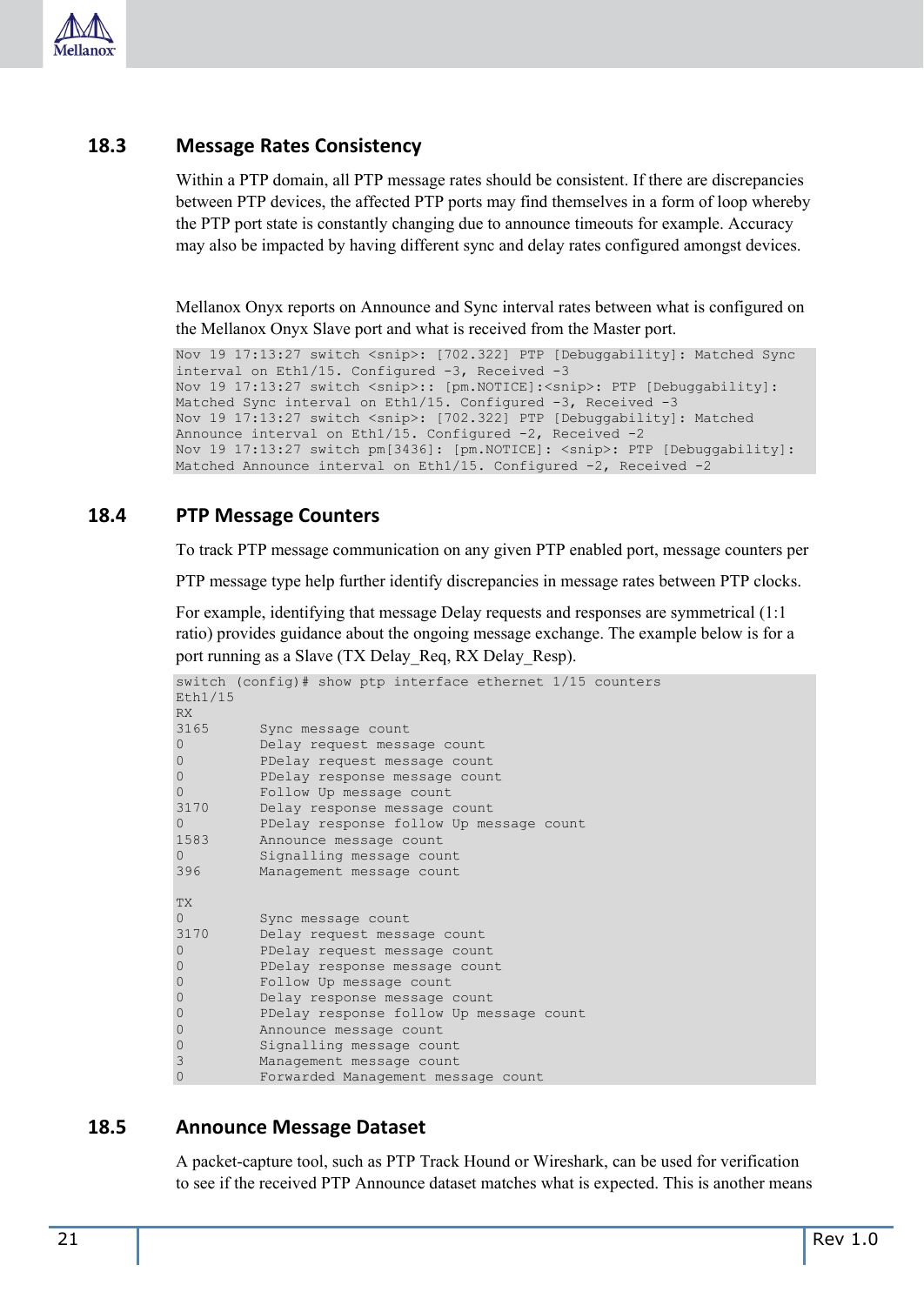

#### <span id="page-20-0"></span>**18.3 Message Rates Consistency**

Within a PTP domain, all PTP message rates should be consistent. If there are discrepancies between PTP devices, the affected PTP ports may find themselves in a form of loop whereby the PTP port state is constantly changing due to announce timeouts for example. Accuracy may also be impacted by having different sync and delay rates configured amongst devices.

Mellanox Onyx reports on Announce and Sync interval rates between what is configured on the Mellanox Onyx Slave port and what is received from the Master port.

```
Nov 19 17:13:27 switch <snip>: [702.322] PTP [Debuggability]: Matched Sync 
interval on Eth1/15. Configured -3, Received -3 
Nov 19 17:13:27 switch <snip>:: [pm.NOTICE]:<snip>: PTP [Debuggability]:
Matched Sync interval on Eth1/15. Configured -3, Received -3
Nov 19 17:13:27 switch <snip>: [702.322] PTP [Debuggability]: Matched
Announce interval on Eth1/15. Configured -2, Received -2 
Nov 19 17:13:27 switch pm[3436]: [pm.NOTICE]: <snip>: PTP [Debuggability]:
Matched Announce interval on Eth1/15. Configured -2, Received -2
```
#### <span id="page-20-1"></span>**18.4 PTP Message Counters**

To track PTP message communication on any given PTP enabled port, message counters per

PTP message type help further identify discrepancies in message rates between PTP clocks.

For example, identifying that message Delay requests and responses are symmetrical (1:1 ratio) provides guidance about the ongoing message exchange. The example below is for a port running as a Slave (TX Delay Req, RX Delay Resp).

|           | switch (config)# show ptp interface ethernet $1/15$ counters |
|-----------|--------------------------------------------------------------|
| Eth1/15   |                                                              |
| RX        |                                                              |
| 3165      | Sync message count                                           |
| 0         | Delay request message count                                  |
| 0         | PDelay request message count                                 |
| $\Omega$  | PDelay response message count                                |
| $\Omega$  | Follow Up message count                                      |
| 3170      | Delay response message count                                 |
| $\Omega$  | PDelay response follow Up message count                      |
| 1583      | Announce message count                                       |
| $\Omega$  | Signalling message count                                     |
| 396       | Management message count                                     |
|           |                                                              |
| <b>TX</b> |                                                              |
| $\Omega$  | Sync message count                                           |
| 3170      | Delay request message count                                  |
| $\Omega$  | PDelay request message count                                 |
| $\Omega$  | PDelay response message count                                |
| 0         | Follow Up message count                                      |
| 0         | Delay response message count                                 |
| 0         | PDelay response follow Up message count                      |
| 0         | Announce message count                                       |
| 0         | Signalling message count                                     |
| 3         | Management message count                                     |
| 0         | Forwarded Management message count                           |

#### <span id="page-20-2"></span>**18.5 Announce Message Dataset**

A packet-capture tool, such as PTP Track Hound or Wireshark, can be used for verification to see if the received PTP Announce dataset matches what is expected. This is another means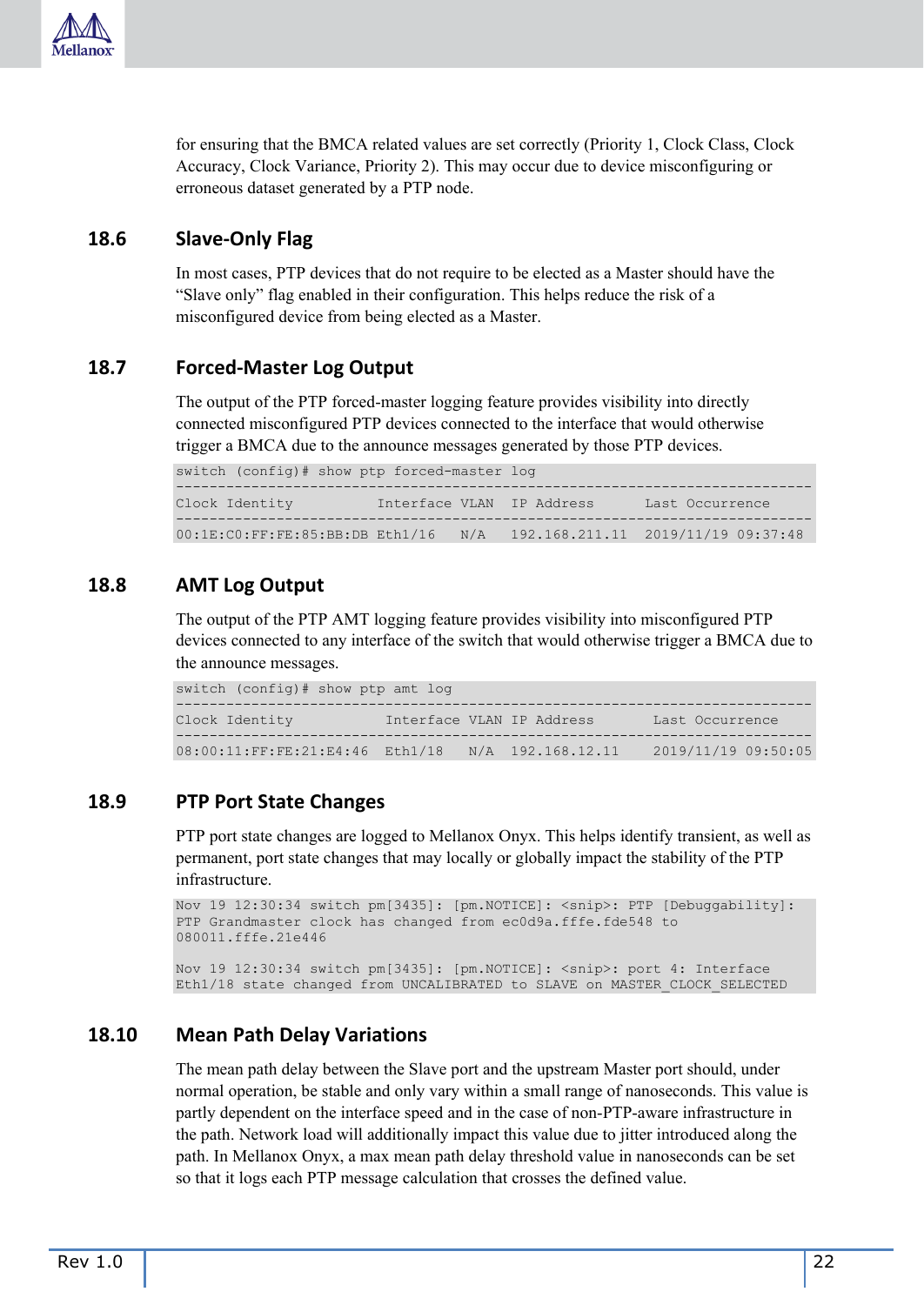

for ensuring that the BMCA related values are set correctly (Priority 1, Clock Class, Clock Accuracy, Clock Variance, Priority 2). This may occur due to device misconfiguring or erroneous dataset generated by a PTP node.

#### <span id="page-21-0"></span>**18.6 Slave-Only Flag**

In most cases, PTP devices that do not require to be elected as a Master should have the "Slave only" flag enabled in their configuration. This helps reduce the risk of a misconfigured device from being elected as a Master.

#### <span id="page-21-1"></span>**18.7 Forced-Master Log Output**

The output of the PTP forced-master logging feature provides visibility into directly connected misconfigured PTP devices connected to the interface that would otherwise trigger a BMCA due to the announce messages generated by those PTP devices.

switch (config)# show ptp forced-master log

---------------------------------------------------------------------------- Clock Identity \_\_\_\_\_\_\_\_\_ Interface VLAN IP Address \_\_\_\_\_ Last Occurrence ---------------------------------------------------------------------------- 00:1E:C0:FF:FE:85:BB:DB Eth1/16 N/A 192.168.211.11 2019/11/19 09:37:48

#### <span id="page-21-2"></span>**18.8 AMT Log Output**

The output of the PTP AMT logging feature provides visibility into misconfigured PTP devices connected to any interface of the switch that would otherwise trigger a BMCA due to the announce messages.

| switch (config)# show ptp amt log                 |  |                           |                     |
|---------------------------------------------------|--|---------------------------|---------------------|
| Clock Identity                                    |  | Interface VLAN IP Address | Last Occurrence     |
| 08:00:11:FF:FE:21:E4:46 Eth1/18 N/A 192.168.12.11 |  |                           | 2019/11/19 09:50:05 |

#### <span id="page-21-3"></span>**18.9 PTP Port State Changes**

PTP port state changes are logged to Mellanox Onyx. This helps identify transient, as well as permanent, port state changes that may locally or globally impact the stability of the PTP infrastructure.

```
Nov 19 12:30:34 switch pm[3435]: [pm.NOTICE]: <snip>: PTP [Debuggability]:
PTP Grandmaster clock has changed from ec0d9a.fffe.fde548 to 
080011.fffe.21e446
```
Nov 19 12:30:34 switch pm[3435]: [pm.NOTICE]: <snip>: port 4: Interface Eth1/18 state changed from UNCALIBRATED to SLAVE on MASTER\_CLOCK\_SELECTED

#### <span id="page-21-4"></span>**18.10 Mean Path Delay Variations**

The mean path delay between the Slave port and the upstream Master port should, under normal operation, be stable and only vary within a small range of nanoseconds. This value is partly dependent on the interface speed and in the case of non-PTP-aware infrastructure in the path. Network load will additionally impact this value due to jitter introduced along the path. In Mellanox Onyx, a max mean path delay threshold value in nanoseconds can be set so that it logs each PTP message calculation that crosses the defined value.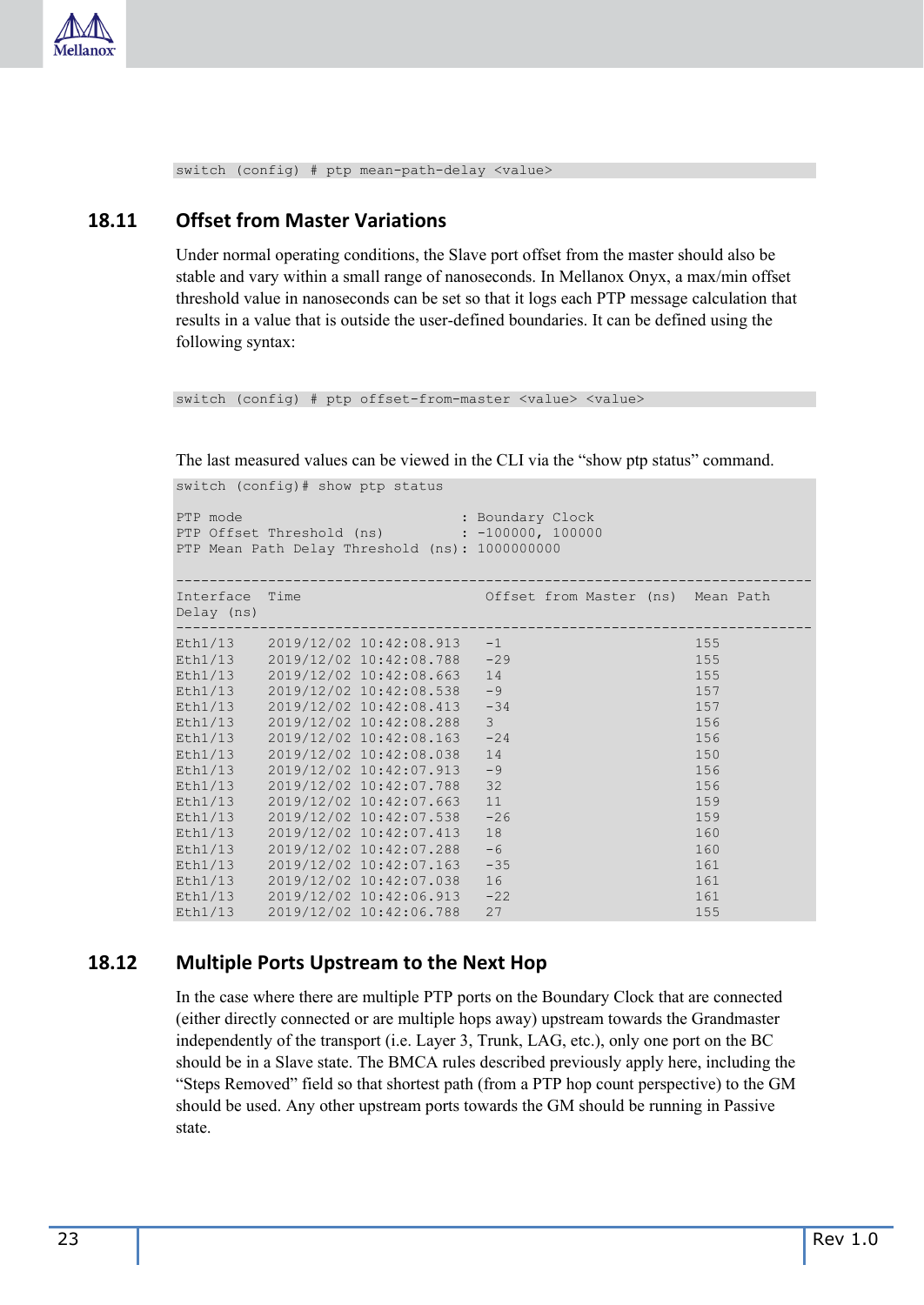

switch (config) # ptp mean-path-delay <value>

#### <span id="page-22-0"></span>**18.11 Offset from Master Variations**

Under normal operating conditions, the Slave port offset from the master should also be stable and vary within a small range of nanoseconds. In Mellanox Onyx, a max/min offset threshold value in nanoseconds can be set so that it logs each PTP message calculation that results in a value that is outside the user-defined boundaries. It can be defined using the following syntax:

switch (config) # ptp offset-from-master <value> <value>

The last measured values can be viewed in the CLI via the "show ptp status" command.

```
switch (config)# show ptp status
```

```
PTP mode \qquad \qquad : Boundary Clock
PTP Offset Threshold (ns) : -100000, 100000 
PTP Mean Path Delay Threshold (ns): 1000000000 
---------------------------------------------------------------------------- 
Interface Time Offset from Master (ns) Mean Path 
Delay (ns) 
---------------------------------------------------------------------------- 
Eth1/13 2019/12/02 10:42:08.913 -1 155
Eth1/13 2019/12/02 10:42:08.788 -29 155
Eth1/13 2019/12/02 10:42:08.663 14 155
```

| Eth1/13 | 2019/12/02 10:42:08.663 | 14            | 155 |
|---------|-------------------------|---------------|-----|
| Eth1/13 | 2019/12/02 10:42:08.538 | $-9$          | 157 |
| Eth1/13 | 2019/12/02 10:42:08.413 | $-34$         | 157 |
| Eth1/13 | 2019/12/02 10:42:08.288 | $\mathcal{E}$ | 156 |
| Eth1/13 | 2019/12/02 10:42:08.163 | $-24$         | 156 |
| Eth1/13 | 2019/12/02 10:42:08.038 | 14            | 150 |
| Eth1/13 | 2019/12/02 10:42:07.913 | $-9$          | 156 |
| Eth1/13 | 2019/12/02 10:42:07.788 | 32            | 156 |
| Eth1/13 | 2019/12/02 10:42:07.663 | 11            | 159 |
| Eth1/13 | 2019/12/02 10:42:07.538 | $-26$         | 159 |
| Eth1/13 | 2019/12/02 10:42:07.413 | 18            | 160 |
| Eth1/13 | 2019/12/02 10:42:07.288 | $-6$          | 160 |
| Eth1/13 | 2019/12/02 10:42:07.163 | $-35$         | 161 |
| Eth1/13 | 2019/12/02 10:42:07.038 | 16            | 161 |
| Eth1/13 | 2019/12/02 10:42:06.913 | $-22$         | 161 |
| Eth1/13 | 2019/12/02 10:42:06.788 | 27            | 155 |
|         |                         |               |     |

#### <span id="page-22-1"></span>**18.12 Multiple Ports Upstream to the Next Hop**

In the case where there are multiple PTP ports on the Boundary Clock that are connected (either directly connected or are multiple hops away) upstream towards the Grandmaster independently of the transport (i.e. Layer 3, Trunk, LAG, etc.), only one port on the BC should be in a Slave state. The BMCA rules described previously apply here, including the "Steps Removed" field so that shortest path (from a PTP hop count perspective) to the GM should be used. Any other upstream ports towards the GM should be running in Passive state.